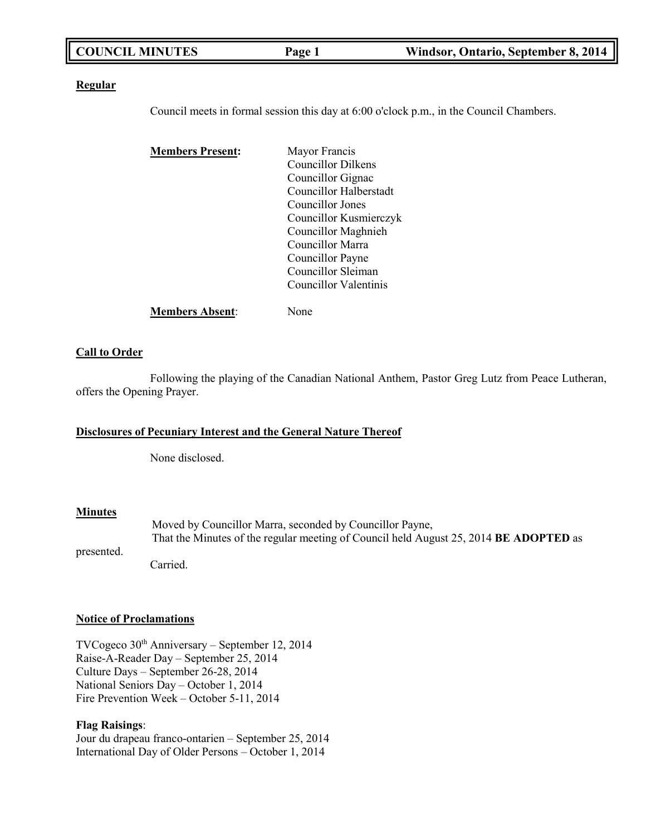| <b>COUNCIL MINUTES</b> | Page 1 | Windsor, Ontario, September 8, 2014 |
|------------------------|--------|-------------------------------------|
|------------------------|--------|-------------------------------------|

### **Regular**

Council meets in formal session this day at 6:00 o'clock p.m., in the Council Chambers.

| <b>Members Present:</b> | Mayor Francis          |
|-------------------------|------------------------|
|                         | Councillor Dilkens     |
|                         | Councillor Gignac      |
|                         | Councillor Halberstadt |
|                         | Councillor Jones       |
|                         | Councillor Kusmierczyk |
|                         | Councillor Maghnieh    |
|                         | Councillor Marra       |
|                         | Councillor Payne       |
|                         | Councillor Sleiman     |
|                         | Councillor Valentinis  |
| <b>Members Absent:</b>  | None                   |

### **Call to Order**

Following the playing of the Canadian National Anthem, Pastor Greg Lutz from Peace Lutheran, offers the Opening Prayer.

## **Disclosures of Pecuniary Interest and the General Nature Thereof**

None disclosed.

## **Minutes**

Moved by Councillor Marra, seconded by Councillor Payne, That the Minutes of the regular meeting of Council held August 25, 2014 **BE ADOPTED** as

presented.

Carried.

### **Notice of Proclamations**

TVCogeco  $30<sup>th</sup>$  Anniversary – September 12, 2014 Raise-A-Reader Day – September 25, 2014 Culture Days – September 26-28, 2014 National Seniors Day – October 1, 2014 Fire Prevention Week – October 5-11, 2014

## **Flag Raisings**:

Jour du drapeau franco-ontarien – September 25, 2014 International Day of Older Persons – October 1, 2014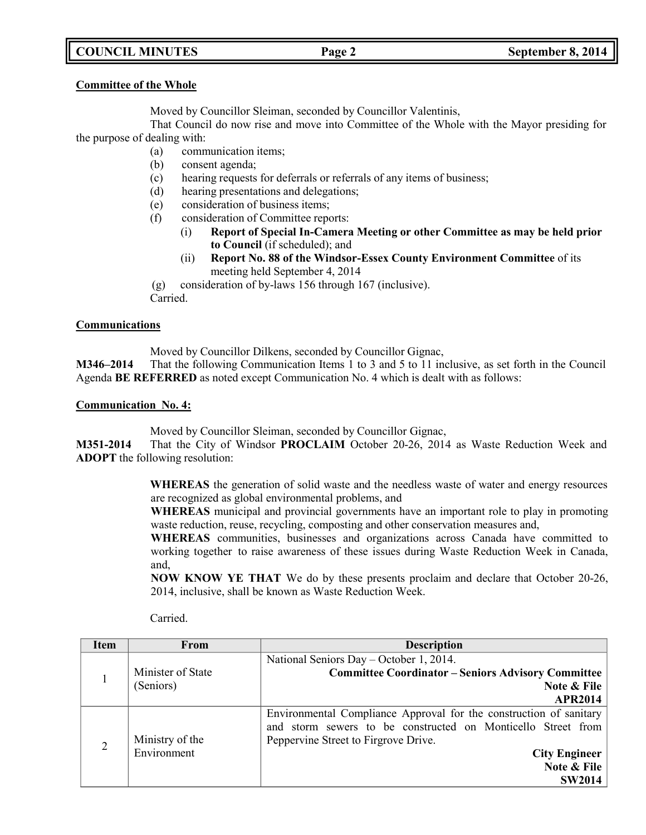# **COUNCIL MINUTES Page 2 September 8, 2014**

### **Committee of the Whole**

Moved by Councillor Sleiman, seconded by Councillor Valentinis,

That Council do now rise and move into Committee of the Whole with the Mayor presiding for the purpose of dealing with:

- (a) communication items;
- (b) consent agenda;
- (c) hearing requests for deferrals or referrals of any items of business;
- (d) hearing presentations and delegations;
- (e) consideration of business items;
- (f) consideration of Committee reports:
	- (i) **Report of Special In-Camera Meeting or other Committee as may be held prior to Council** (if scheduled); and
	- (ii) **Report No. 88 of the Windsor-Essex County Environment Committee** of its meeting held September 4, 2014
- (g) consideration of by-laws 156 through 167 (inclusive).

Carried.

## **Communications**

Moved by Councillor Dilkens, seconded by Councillor Gignac,

**M346–2014** That the following Communication Items 1 to 3 and 5 to 11 inclusive, as set forth in the Council Agenda **BE REFERRED** as noted except Communication No. 4 which is dealt with as follows:

## **Communication No. 4:**

Moved by Councillor Sleiman, seconded by Councillor Gignac,

**M351-2014** That the City of Windsor **PROCLAIM** October 20-26, 2014 as Waste Reduction Week and **ADOPT** the following resolution:

> **WHEREAS** the generation of solid waste and the needless waste of water and energy resources are recognized as global environmental problems, and

> **WHEREAS** municipal and provincial governments have an important role to play in promoting waste reduction, reuse, recycling, composting and other conservation measures and,

> **WHEREAS** communities, businesses and organizations across Canada have committed to working together to raise awareness of these issues during Waste Reduction Week in Canada, and,

> **NOW KNOW YE THAT** We do by these presents proclaim and declare that October 20-26, 2014, inclusive, shall be known as Waste Reduction Week.

| <b>Item</b>    | From              | <b>Description</b>                                                 |
|----------------|-------------------|--------------------------------------------------------------------|
|                |                   | National Seniors Day - October 1, 2014.                            |
|                | Minister of State | <b>Committee Coordinator - Seniors Advisory Committee</b>          |
|                | (Seniors)         | Note & File                                                        |
|                |                   | <b>APR2014</b>                                                     |
|                |                   | Environmental Compliance Approval for the construction of sanitary |
|                |                   | and storm sewers to be constructed on Monticello Street from       |
| $\overline{2}$ | Ministry of the   | Peppervine Street to Firgrove Drive.                               |
|                | Environment       | <b>City Engineer</b>                                               |
|                |                   | Note & File                                                        |
|                |                   | <b>SW2014</b>                                                      |

Carried.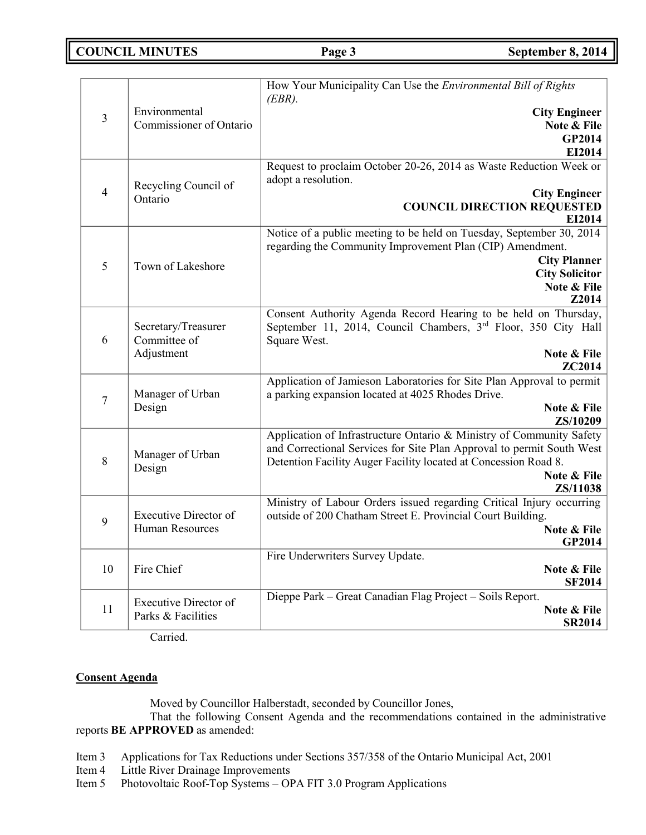**COUNCIL MINUTES Page 3 September 8, 2014**

| $\overline{3}$ | Environmental<br>Commissioner of Ontario           | How Your Municipality Can Use the Environmental Bill of Rights<br>$(EBR)$ .<br><b>City Engineer</b><br>Note & File<br>GP2014<br>EI2014                                                                                                      |
|----------------|----------------------------------------------------|---------------------------------------------------------------------------------------------------------------------------------------------------------------------------------------------------------------------------------------------|
| $\overline{4}$ | Recycling Council of<br>Ontario                    | Request to proclaim October 20-26, 2014 as Waste Reduction Week or<br>adopt a resolution.<br><b>City Engineer</b><br><b>COUNCIL DIRECTION REQUESTED</b><br>EI2014                                                                           |
| 5              | Town of Lakeshore                                  | Notice of a public meeting to be held on Tuesday, September 30, 2014<br>regarding the Community Improvement Plan (CIP) Amendment.<br><b>City Planner</b><br><b>City Solicitor</b><br>Note & File<br>Z2014                                   |
| 6              | Secretary/Treasurer<br>Committee of<br>Adjustment  | Consent Authority Agenda Record Hearing to be held on Thursday,<br>September 11, 2014, Council Chambers, 3rd Floor, 350 City Hall<br>Square West.<br>Note & File<br>ZC2014                                                                  |
| 7              | Manager of Urban<br>Design                         | Application of Jamieson Laboratories for Site Plan Approval to permit<br>a parking expansion located at 4025 Rhodes Drive.<br>Note & File<br>ZS/10209                                                                                       |
| 8              | Manager of Urban<br>Design                         | Application of Infrastructure Ontario & Ministry of Community Safety<br>and Correctional Services for Site Plan Approval to permit South West<br>Detention Facility Auger Facility located at Concession Road 8.<br>Note & File<br>ZS/11038 |
| 9              | <b>Executive Director of</b><br>Human Resources    | Ministry of Labour Orders issued regarding Critical Injury occurring<br>outside of 200 Chatham Street E. Provincial Court Building.<br>Note & File<br>GP2014                                                                                |
| 10             | Fire Chief                                         | Fire Underwriters Survey Update.<br>Note & File<br><b>SF2014</b>                                                                                                                                                                            |
| 11             | <b>Executive Director of</b><br>Parks & Facilities | Dieppe Park – Great Canadian Flag Project – Soils Report.<br>Note & File<br><b>SR2014</b>                                                                                                                                                   |

Carried.

## **Consent Agenda**

Moved by Councillor Halberstadt, seconded by Councillor Jones,

That the following Consent Agenda and the recommendations contained in the administrative reports **BE APPROVED** as amended:

- Item 3 Applications for Tax Reductions under Sections 357/358 of the Ontario Municipal Act, 2001
- Item 4 Little River Drainage Improvements
- Item 5 Photovoltaic Roof-Top Systems OPA FIT 3.0 Program Applications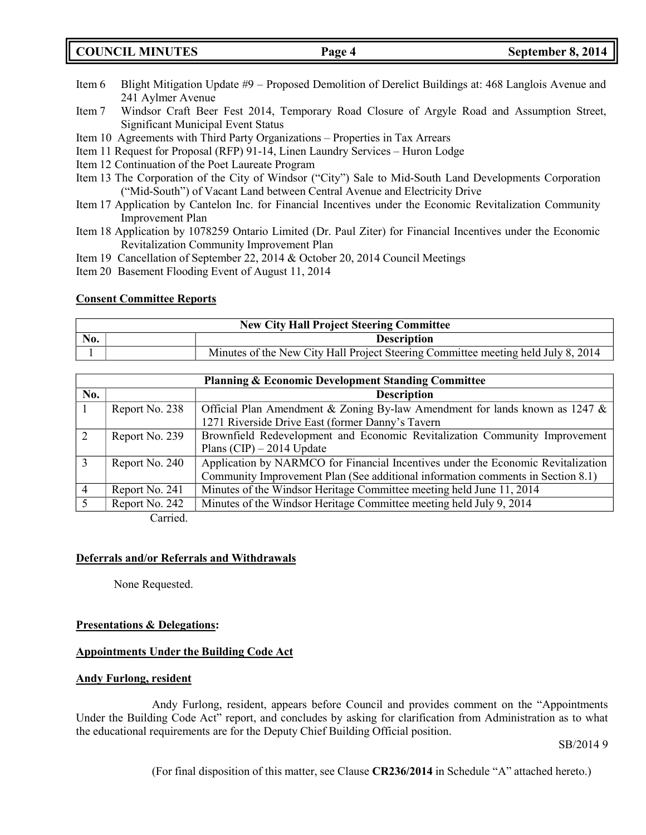**COUNCIL MINUTES Page 4 September 8, 2014**

- Item 6 Blight Mitigation Update #9 Proposed Demolition of Derelict Buildings at: 468 Langlois Avenue and 241 Aylmer Avenue
- Item 7 Windsor Craft Beer Fest 2014, Temporary Road Closure of Argyle Road and Assumption Street, Significant Municipal Event Status
- Item 10 Agreements with Third Party Organizations Properties in Tax Arrears
- Item 11 Request for Proposal (RFP) 91-14, Linen Laundry Services Huron Lodge
- Item 12 Continuation of the Poet Laureate Program
- Item 13 The Corporation of the City of Windsor ("City") Sale to Mid-South Land Developments Corporation ("Mid-South") of Vacant Land between Central Avenue and Electricity Drive
- Item 17 Application by Cantelon Inc. for Financial Incentives under the Economic Revitalization Community Improvement Plan
- Item 18 Application by 1078259 Ontario Limited (Dr. Paul Ziter) for Financial Incentives under the Economic Revitalization Community Improvement Plan
- Item 19 Cancellation of September 22, 2014 & October 20, 2014 Council Meetings
- Item 20 Basement Flooding Event of August 11, 2014

## **Consent Committee Reports**

| <b>New City Hall Project Steering Committee</b> |  |                                                                                   |
|-------------------------------------------------|--|-----------------------------------------------------------------------------------|
| No.<br><b>Description</b>                       |  |                                                                                   |
|                                                 |  | Minutes of the New City Hall Project Steering Committee meeting held July 8, 2014 |

| <b>Planning &amp; Economic Development Standing Committee</b> |                |                                                                                  |  |
|---------------------------------------------------------------|----------------|----------------------------------------------------------------------------------|--|
| No.                                                           |                | <b>Description</b>                                                               |  |
|                                                               | Report No. 238 | Official Plan Amendment & Zoning By-law Amendment for lands known as 1247 &      |  |
|                                                               |                | 1271 Riverside Drive East (former Danny's Tavern                                 |  |
|                                                               | Report No. 239 | Brownfield Redevelopment and Economic Revitalization Community Improvement       |  |
|                                                               |                | Plans (CIP) $-$ 2014 Update                                                      |  |
|                                                               | Report No. 240 | Application by NARMCO for Financial Incentives under the Economic Revitalization |  |
|                                                               |                | Community Improvement Plan (See additional information comments in Section 8.1)  |  |
|                                                               | Report No. 241 | Minutes of the Windsor Heritage Committee meeting held June 11, 2014             |  |
|                                                               | Report No. 242 | Minutes of the Windsor Heritage Committee meeting held July 9, 2014              |  |
|                                                               |                |                                                                                  |  |

Carried.

### **Deferrals and/or Referrals and Withdrawals**

None Requested.

### **Presentations & Delegations:**

## **Appointments Under the Building Code Act**

### **Andy Furlong, resident**

Andy Furlong, resident, appears before Council and provides comment on the "Appointments Under the Building Code Act" report, and concludes by asking for clarification from Administration as to what the educational requirements are for the Deputy Chief Building Official position.

SB/2014 9

(For final disposition of this matter, see Clause **CR236/2014** in Schedule "A" attached hereto.)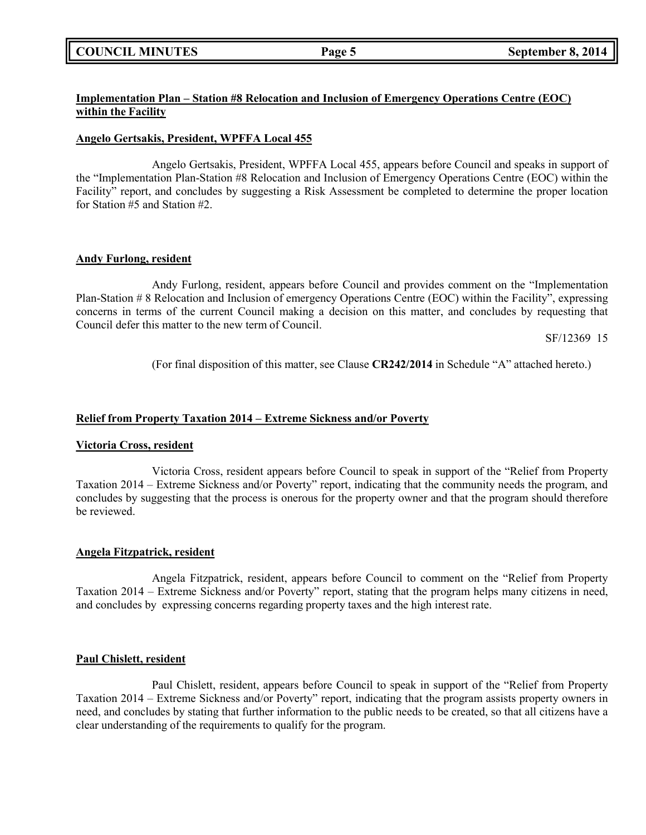## **COUNCIL MINUTES Page 5 September 8, 2014**

## **Implementation Plan – Station #8 Relocation and Inclusion of Emergency Operations Centre (EOC) within the Facility**

### **Angelo Gertsakis, President, WPFFA Local 455**

Angelo Gertsakis, President, WPFFA Local 455, appears before Council and speaks in support of the "Implementation Plan-Station #8 Relocation and Inclusion of Emergency Operations Centre (EOC) within the Facility" report, and concludes by suggesting a Risk Assessment be completed to determine the proper location for Station #5 and Station #2.

### **Andy Furlong, resident**

Andy Furlong, resident, appears before Council and provides comment on the "Implementation Plan-Station # 8 Relocation and Inclusion of emergency Operations Centre (EOC) within the Facility", expressing concerns in terms of the current Council making a decision on this matter, and concludes by requesting that Council defer this matter to the new term of Council.

SF/12369 15

(For final disposition of this matter, see Clause **CR242/2014** in Schedule "A" attached hereto.)

## **Relief from Property Taxation 2014 – Extreme Sickness and/or Poverty**

### **Victoria Cross, resident**

Victoria Cross, resident appears before Council to speak in support of the "Relief from Property Taxation 2014 – Extreme Sickness and/or Poverty" report, indicating that the community needs the program, and concludes by suggesting that the process is onerous for the property owner and that the program should therefore be reviewed.

### **Angela Fitzpatrick, resident**

Angela Fitzpatrick, resident, appears before Council to comment on the "Relief from Property Taxation 2014 – Extreme Sickness and/or Poverty" report, stating that the program helps many citizens in need, and concludes by expressing concerns regarding property taxes and the high interest rate.

### **Paul Chislett, resident**

Paul Chislett, resident, appears before Council to speak in support of the "Relief from Property Taxation 2014 – Extreme Sickness and/or Poverty" report, indicating that the program assists property owners in need, and concludes by stating that further information to the public needs to be created, so that all citizens have a clear understanding of the requirements to qualify for the program.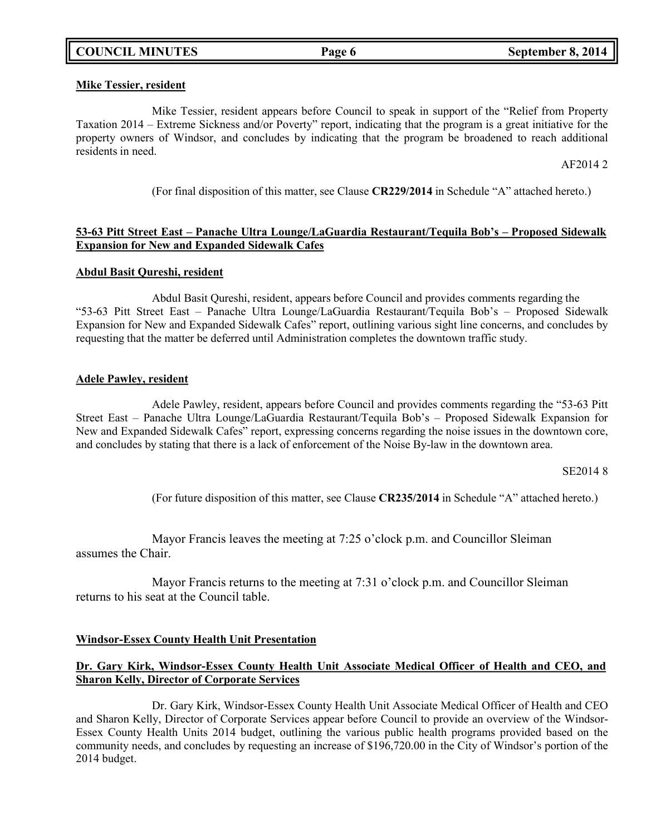### **Mike Tessier, resident**

Mike Tessier, resident appears before Council to speak in support of the "Relief from Property Taxation 2014 – Extreme Sickness and/or Poverty" report, indicating that the program is a great initiative for the property owners of Windsor, and concludes by indicating that the program be broadened to reach additional residents in need.

AF2014 2

(For final disposition of this matter, see Clause **CR229/2014** in Schedule "A" attached hereto.)

## **53-63 Pitt Street East – Panache Ultra Lounge/LaGuardia Restaurant/Tequila Bob's – Proposed Sidewalk Expansion for New and Expanded Sidewalk Cafes**

### **Abdul Basit Qureshi, resident**

Abdul Basit Qureshi, resident, appears before Council and provides comments regarding the "53-63 Pitt Street East – Panache Ultra Lounge/LaGuardia Restaurant/Tequila Bob's – Proposed Sidewalk Expansion for New and Expanded Sidewalk Cafes" report, outlining various sight line concerns, and concludes by requesting that the matter be deferred until Administration completes the downtown traffic study.

### **Adele Pawley, resident**

Adele Pawley, resident, appears before Council and provides comments regarding the "53-63 Pitt Street East – Panache Ultra Lounge/LaGuardia Restaurant/Tequila Bob's – Proposed Sidewalk Expansion for New and Expanded Sidewalk Cafes" report, expressing concerns regarding the noise issues in the downtown core, and concludes by stating that there is a lack of enforcement of the Noise By-law in the downtown area.

SE2014 8

(For future disposition of this matter, see Clause **CR235/2014** in Schedule "A" attached hereto.)

Mayor Francis leaves the meeting at 7:25 o'clock p.m. and Councillor Sleiman assumes the Chair.

Mayor Francis returns to the meeting at 7:31 o'clock p.m. and Councillor Sleiman returns to his seat at the Council table.

## **Windsor-Essex County Health Unit Presentation**

## **Dr. Gary Kirk, Windsor-Essex County Health Unit Associate Medical Officer of Health and CEO, and Sharon Kelly, Director of Corporate Services**

Dr. Gary Kirk, Windsor-Essex County Health Unit Associate Medical Officer of Health and CEO and Sharon Kelly, Director of Corporate Services appear before Council to provide an overview of the Windsor-Essex County Health Units 2014 budget, outlining the various public health programs provided based on the community needs, and concludes by requesting an increase of \$196,720.00 in the City of Windsor's portion of the 2014 budget.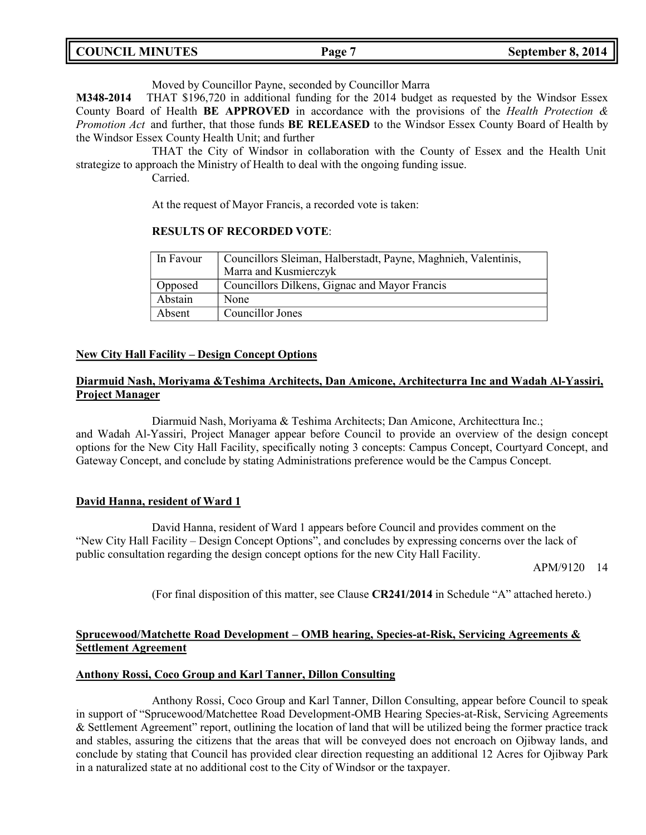| <b>COUNCIL MINUTES</b> | Page | September 8, 2014 |
|------------------------|------|-------------------|
|                        |      |                   |

Moved by Councillor Payne, seconded by Councillor Marra

**M348-2014** THAT \$196,720 in additional funding for the 2014 budget as requested by the Windsor Essex County Board of Health **BE APPROVED** in accordance with the provisions of the *Health Protection & Promotion Act* and further, that those funds **BE RELEASED** to the Windsor Essex County Board of Health by the Windsor Essex County Health Unit; and further

THAT the City of Windsor in collaboration with the County of Essex and the Health Unit strategize to approach the Ministry of Health to deal with the ongoing funding issue.

Carried.

At the request of Mayor Francis, a recorded vote is taken:

### **RESULTS OF RECORDED VOTE**:

| In Favour | Councillors Sleiman, Halberstadt, Payne, Maghnieh, Valentinis, |  |
|-----------|----------------------------------------------------------------|--|
|           | Marra and Kusmierczyk                                          |  |
| Opposed   | Councillors Dilkens, Gignac and Mayor Francis                  |  |
| Abstain   | None                                                           |  |
| Absent    | Councillor Jones                                               |  |

## **New City Hall Facility – Design Concept Options**

## **Diarmuid Nash, Moriyama &Teshima Architects, Dan Amicone, Architecturra Inc and Wadah Al-Yassiri, Project Manager**

Diarmuid Nash, Moriyama & Teshima Architects; Dan Amicone, Architecttura Inc.; and Wadah Al-Yassiri, Project Manager appear before Council to provide an overview of the design concept options for the New City Hall Facility, specifically noting 3 concepts: Campus Concept, Courtyard Concept, and Gateway Concept, and conclude by stating Administrations preference would be the Campus Concept.

## **David Hanna, resident of Ward 1**

David Hanna, resident of Ward 1 appears before Council and provides comment on the "New City Hall Facility – Design Concept Options", and concludes by expressing concerns over the lack of public consultation regarding the design concept options for the new City Hall Facility.

APM/9120 14

(For final disposition of this matter, see Clause **CR241/2014** in Schedule "A" attached hereto.)

## **Sprucewood/Matchette Road Development – OMB hearing, Species-at-Risk, Servicing Agreements & Settlement Agreement**

### **Anthony Rossi, Coco Group and Karl Tanner, Dillon Consulting**

Anthony Rossi, Coco Group and Karl Tanner, Dillon Consulting, appear before Council to speak in support of "Sprucewood/Matchettee Road Development-OMB Hearing Species-at-Risk, Servicing Agreements & Settlement Agreement" report, outlining the location of land that will be utilized being the former practice track and stables, assuring the citizens that the areas that will be conveyed does not encroach on Ojibway lands, and conclude by stating that Council has provided clear direction requesting an additional 12 Acres for Ojibway Park in a naturalized state at no additional cost to the City of Windsor or the taxpayer.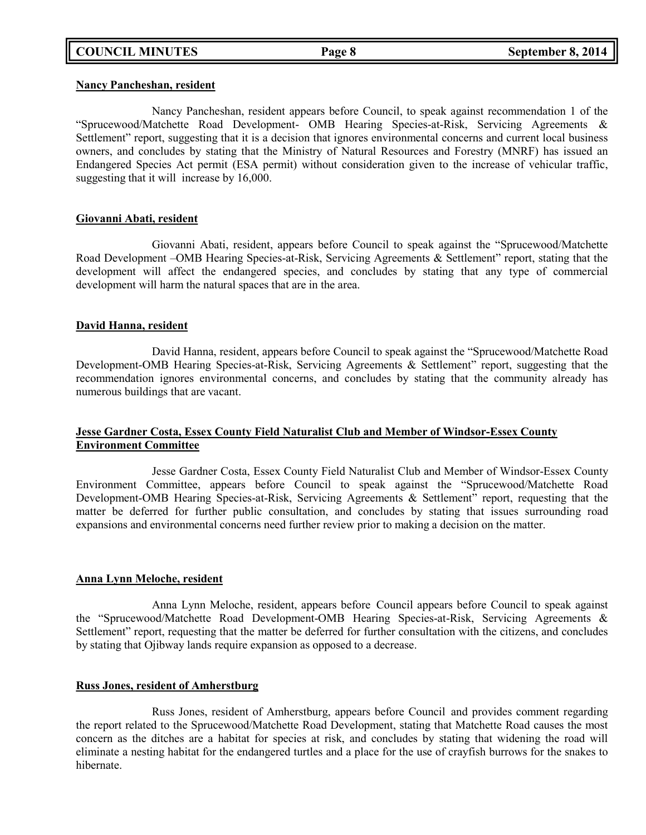### **Nancy Pancheshan, resident**

Nancy Pancheshan, resident appears before Council, to speak against recommendation 1 of the "Sprucewood/Matchette Road Development- OMB Hearing Species-at-Risk, Servicing Agreements & Settlement" report, suggesting that it is a decision that ignores environmental concerns and current local business owners, and concludes by stating that the Ministry of Natural Resources and Forestry (MNRF) has issued an Endangered Species Act permit (ESA permit) without consideration given to the increase of vehicular traffic, suggesting that it will increase by 16,000.

### **Giovanni Abati, resident**

Giovanni Abati, resident, appears before Council to speak against the "Sprucewood/Matchette Road Development –OMB Hearing Species-at-Risk, Servicing Agreements & Settlement" report, stating that the development will affect the endangered species, and concludes by stating that any type of commercial development will harm the natural spaces that are in the area.

### **David Hanna, resident**

David Hanna, resident, appears before Council to speak against the "Sprucewood/Matchette Road Development-OMB Hearing Species-at-Risk, Servicing Agreements & Settlement" report, suggesting that the recommendation ignores environmental concerns, and concludes by stating that the community already has numerous buildings that are vacant.

## **Jesse Gardner Costa, Essex County Field Naturalist Club and Member of Windsor-Essex County Environment Committee**

Jesse Gardner Costa, Essex County Field Naturalist Club and Member of Windsor-Essex County Environment Committee, appears before Council to speak against the "Sprucewood/Matchette Road Development-OMB Hearing Species-at-Risk, Servicing Agreements & Settlement" report, requesting that the matter be deferred for further public consultation, and concludes by stating that issues surrounding road expansions and environmental concerns need further review prior to making a decision on the matter.

### **Anna Lynn Meloche, resident**

Anna Lynn Meloche, resident, appears before Council appears before Council to speak against the "Sprucewood/Matchette Road Development-OMB Hearing Species-at-Risk, Servicing Agreements & Settlement" report, requesting that the matter be deferred for further consultation with the citizens, and concludes by stating that Ojibway lands require expansion as opposed to a decrease.

### **Russ Jones, resident of Amherstburg**

Russ Jones, resident of Amherstburg, appears before Council and provides comment regarding the report related to the Sprucewood/Matchette Road Development, stating that Matchette Road causes the most concern as the ditches are a habitat for species at risk, and concludes by stating that widening the road will eliminate a nesting habitat for the endangered turtles and a place for the use of crayfish burrows for the snakes to hibernate.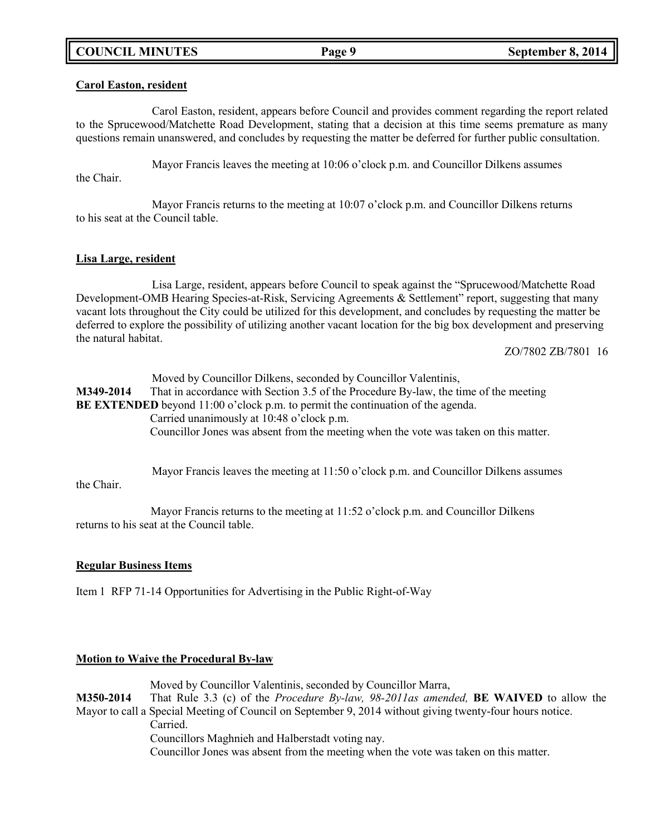# **COUNCIL MINUTES Page 9 September 8, 2014**

### **Carol Easton, resident**

Carol Easton, resident, appears before Council and provides comment regarding the report related to the Sprucewood/Matchette Road Development, stating that a decision at this time seems premature as many questions remain unanswered, and concludes by requesting the matter be deferred for further public consultation.

Mayor Francis leaves the meeting at 10:06 o'clock p.m. and Councillor Dilkens assumes the Chair.

Mayor Francis returns to the meeting at 10:07 o'clock p.m. and Councillor Dilkens returns to his seat at the Council table.

### **Lisa Large, resident**

Lisa Large, resident, appears before Council to speak against the "Sprucewood/Matchette Road Development-OMB Hearing Species-at-Risk, Servicing Agreements & Settlement" report, suggesting that many vacant lots throughout the City could be utilized for this development, and concludes by requesting the matter be deferred to explore the possibility of utilizing another vacant location for the big box development and preserving the natural habitat.

ZO/7802 ZB/7801 16

| M349-2014  | Moved by Councillor Dilkens, seconded by Councillor Valentinis,<br>That in accordance with Section 3.5 of the Procedure By-law, the time of the meeting |
|------------|---------------------------------------------------------------------------------------------------------------------------------------------------------|
|            | <b>BE EXTENDED</b> beyond $11:00$ o'clock p.m. to permit the continuation of the agenda.<br>Carried unanimously at 10:48 o'clock p.m.                   |
|            | Councillor Jones was absent from the meeting when the vote was taken on this matter.                                                                    |
| the Chair. | Mayor Francis leaves the meeting at $11:50$ o'clock p.m. and Councillor Dilkens assumes                                                                 |

Mayor Francis returns to the meeting at 11:52 o'clock p.m. and Councillor Dilkens returns to his seat at the Council table.

## **Regular Business Items**

Item 1 RFP 71-14 Opportunities for Advertising in the Public Right-of-Way

## **Motion to Waive the Procedural By-law**

Moved by Councillor Valentinis, seconded by Councillor Marra, **M350-2014** That Rule 3.3 (c) of the *Procedure By-law, 98-2011as amended,* **BE WAIVED** to allow the Mayor to call a Special Meeting of Council on September 9, 2014 without giving twenty-four hours notice. Carried. Councillors Maghnieh and Halberstadt voting nay. Councillor Jones was absent from the meeting when the vote was taken on this matter.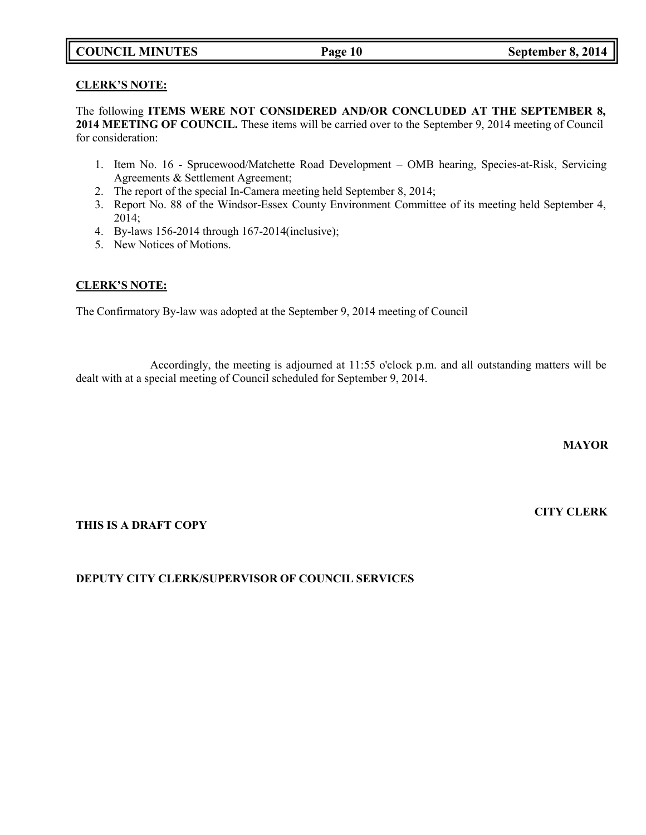# **COUNCIL MINUTES Page 10 September 8, 2014**

## **CLERK'S NOTE:**

The following **ITEMS WERE NOT CONSIDERED AND/OR CONCLUDED AT THE SEPTEMBER 8, 2014 MEETING OF COUNCIL.** These items will be carried over to the September 9, 2014 meeting of Council for consideration:

- 1. Item No. 16 Sprucewood/Matchette Road Development OMB hearing, Species-at-Risk, Servicing Agreements & Settlement Agreement;
- 2. The report of the special In-Camera meeting held September 8, 2014;
- 3. Report No. 88 of the Windsor-Essex County Environment Committee of its meeting held September 4, 2014;
- 4. By-laws 156-2014 through 167-2014(inclusive);
- 5. New Notices of Motions.

## **CLERK'S NOTE:**

The Confirmatory By-law was adopted at the September 9, 2014 meeting of Council

Accordingly, the meeting is adjourned at 11:55 o'clock p.m. and all outstanding matters will be dealt with at a special meeting of Council scheduled for September 9, 2014.

**MAYOR**

**CITY CLERK**

## **THIS IS A DRAFT COPY**

# **DEPUTY CITY CLERK/SUPERVISOR OF COUNCIL SERVICES**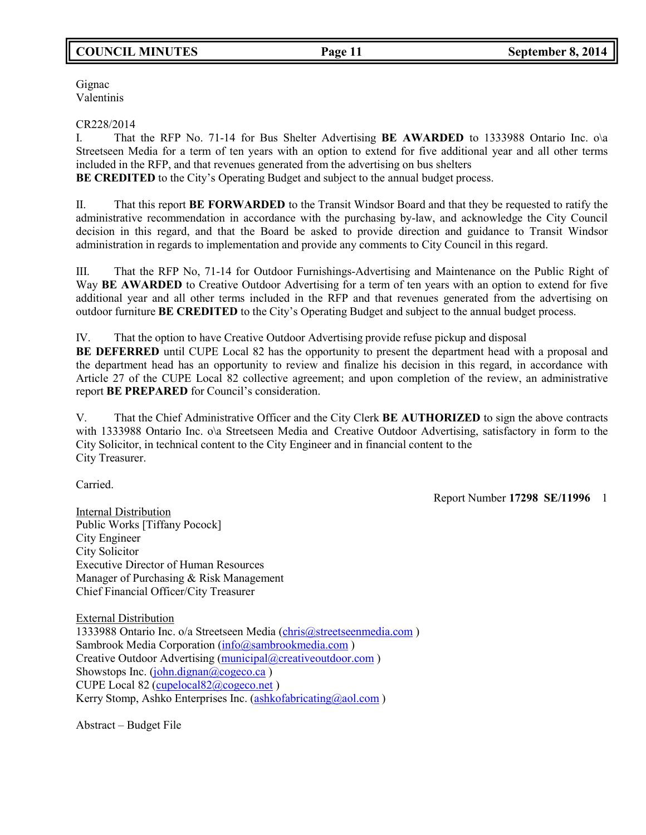# **COUNCIL MINUTES Page 11 September 8, 2014**

Gignac Valentinis

### CR228/2014

I. That the RFP No. 71-14 for Bus Shelter Advertising **BE AWARDED** to 1333988 Ontario Inc. o\a Streetseen Media for a term of ten years with an option to extend for five additional year and all other terms included in the RFP, and that revenues generated from the advertising on bus shelters **BE CREDITED** to the City's Operating Budget and subject to the annual budget process.

II. That this report **BE FORWARDED** to the Transit Windsor Board and that they be requested to ratify the administrative recommendation in accordance with the purchasing by-law, and acknowledge the City Council decision in this regard, and that the Board be asked to provide direction and guidance to Transit Windsor administration in regards to implementation and provide any comments to City Council in this regard.

III. That the RFP No, 71-14 for Outdoor Furnishings-Advertising and Maintenance on the Public Right of Way **BE AWARDED** to Creative Outdoor Advertising for a term of ten years with an option to extend for five additional year and all other terms included in the RFP and that revenues generated from the advertising on outdoor furniture **BE CREDITED** to the City's Operating Budget and subject to the annual budget process.

IV. That the option to have Creative Outdoor Advertising provide refuse pickup and disposal

**BE DEFERRED** until CUPE Local 82 has the opportunity to present the department head with a proposal and the department head has an opportunity to review and finalize his decision in this regard, in accordance with Article 27 of the CUPE Local 82 collective agreement; and upon completion of the review, an administrative report **BE PREPARED** for Council's consideration.

V. That the Chief Administrative Officer and the City Clerk **BE AUTHORIZED** to sign the above contracts with 1333988 Ontario Inc. o\a Streetseen Media and Creative Outdoor Advertising, satisfactory in form to the City Solicitor, in technical content to the City Engineer and in financial content to the City Treasurer.

Carried.

Report Number **17298 SE/11996** 1

Internal Distribution Public Works [Tiffany Pocock] City Engineer City Solicitor Executive Director of Human Resources Manager of Purchasing & Risk Management Chief Financial Officer/City Treasurer

External Distribution 1333988 Ontario Inc. o/a Streetseen Media [\(chris@streetseenmedia.com](mailto:chris@streetseenmedia.com)) Sambrook Media Corporation [\(info@sambrookmedia.com](mailto:info@sambrookmedia.com)) Creative Outdoor Advertising [\(municipal@creativeoutdoor.com](mailto:municipal@creativeoutdoor.com) ) Showstops Inc. [\(john.dignan@cogeco.ca](mailto:john.dignan@cogeco.ca)) CUPE Local 82 [\(cupelocal82@cogeco.net](mailto:cupelocal82@cogeco.net) ) Kerry Stomp, Ashko Enterprises Inc. [\(ashkofabricating@aol.com](mailto:ashkofabricating@aol.com))

Abstract – Budget File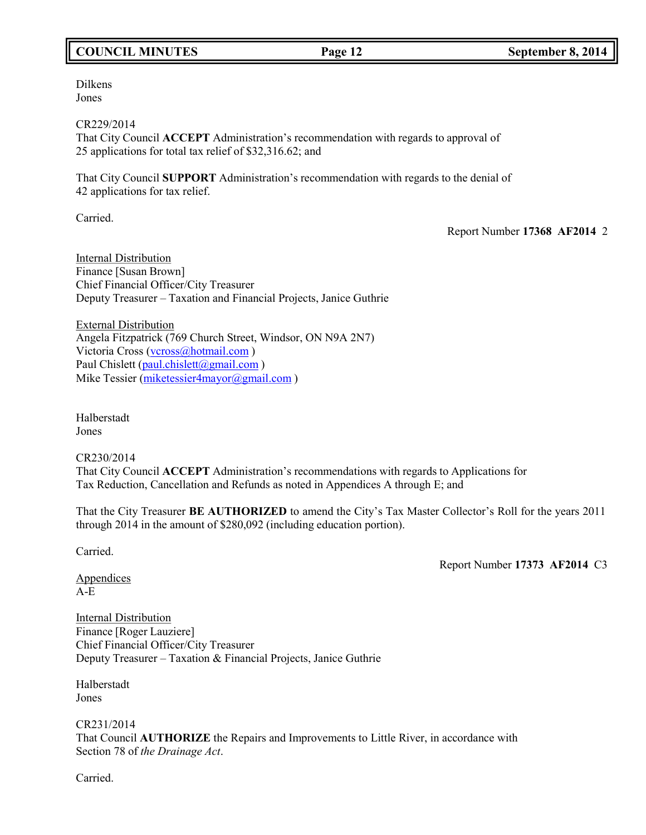# **COUNCIL MINUTES Page 12 September 8, 2014**

Dilkens Jones

CR229/2014 That City Council **ACCEPT** Administration's recommendation with regards to approval of 25 applications for total tax relief of \$32,316.62; and

That City Council **SUPPORT** Administration's recommendation with regards to the denial of 42 applications for tax relief.

Carried.

Report Number **17368 AF2014** 2

Internal Distribution Finance [Susan Brown] Chief Financial Officer/City Treasurer Deputy Treasurer – Taxation and Financial Projects, Janice Guthrie

External Distribution Angela Fitzpatrick (769 Church Street, Windsor, ON N9A 2N7) Victoria Cross [\(vcross@hotmail.com](mailto:vcross@hotmail.com)) Paul Chislett [\(paul.chislett@gmail.com](mailto:paul.chislett@gmail.com)) Mike Tessier [\(miketessier4mayor@gmail.com](mailto:miketessier4mayor@gmail.com))

Halberstadt Jones

CR230/2014 That City Council **ACCEPT** Administration's recommendations with regards to Applications for Tax Reduction, Cancellation and Refunds as noted in Appendices A through E; and

That the City Treasurer **BE AUTHORIZED** to amend the City's Tax Master Collector's Roll for the years 2011 through 2014 in the amount of \$280,092 (including education portion).

Carried.

Report Number **17373 AF2014** C3

**Appendices** A-E

Internal Distribution Finance [Roger Lauziere] Chief Financial Officer/City Treasurer Deputy Treasurer – Taxation & Financial Projects, Janice Guthrie

Halberstadt Jones

CR231/2014 That Council **AUTHORIZE** the Repairs and Improvements to Little River, in accordance with Section 78 of *the Drainage Act*.

Carried.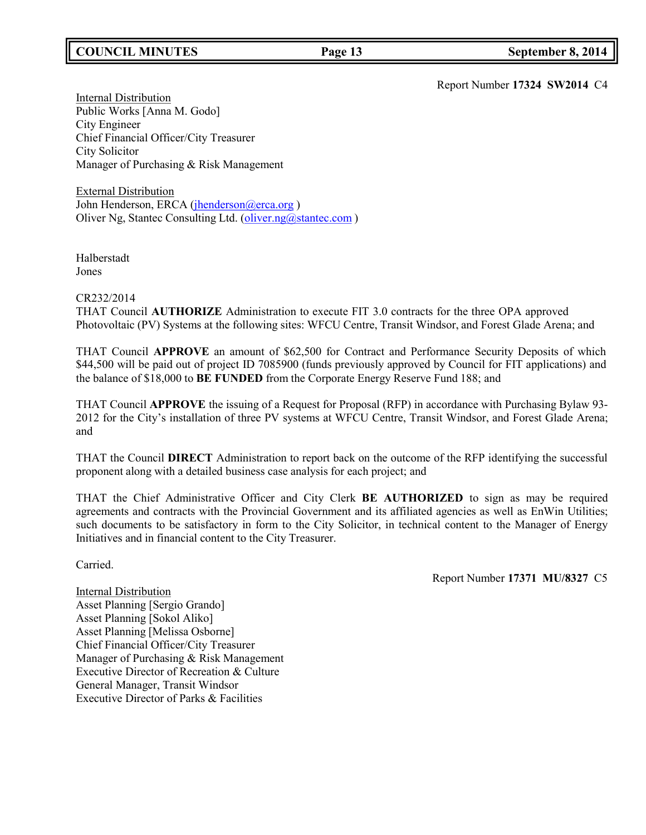# **COUNCIL MINUTES Page 13 September 8, 2014**

Report Number **17324 SW2014** C4

**Internal Distribution** Public Works [Anna M. Godo] City Engineer Chief Financial Officer/City Treasurer City Solicitor Manager of Purchasing & Risk Management

External Distribution John Henderson, ERCA (*jhenderson@erca.org*) Oliver Ng, Stantec Consulting Ltd. [\(oliver.ng@stantec.com](mailto:oliver.ng@stantec.com))

Halberstadt Jones

### CR232/2014

THAT Council **AUTHORIZE** Administration to execute FIT 3.0 contracts for the three OPA approved Photovoltaic (PV) Systems at the following sites: WFCU Centre, Transit Windsor, and Forest Glade Arena; and

THAT Council **APPROVE** an amount of \$62,500 for Contract and Performance Security Deposits of which \$44,500 will be paid out of project ID 7085900 (funds previously approved by Council for FIT applications) and the balance of \$18,000 to **BE FUNDED** from the Corporate Energy Reserve Fund 188; and

THAT Council **APPROVE** the issuing of a Request for Proposal (RFP) in accordance with Purchasing Bylaw 93- 2012 for the City's installation of three PV systems at WFCU Centre, Transit Windsor, and Forest Glade Arena; and

THAT the Council **DIRECT** Administration to report back on the outcome of the RFP identifying the successful proponent along with a detailed business case analysis for each project; and

THAT the Chief Administrative Officer and City Clerk **BE AUTHORIZED** to sign as may be required agreements and contracts with the Provincial Government and its affiliated agencies as well as EnWin Utilities; such documents to be satisfactory in form to the City Solicitor, in technical content to the Manager of Energy Initiatives and in financial content to the City Treasurer.

Carried.

Report Number **17371 MU/8327** C5

Internal Distribution Asset Planning [Sergio Grando] Asset Planning [Sokol Aliko] Asset Planning [Melissa Osborne] Chief Financial Officer/City Treasurer Manager of Purchasing & Risk Management Executive Director of Recreation & Culture General Manager, Transit Windsor Executive Director of Parks & Facilities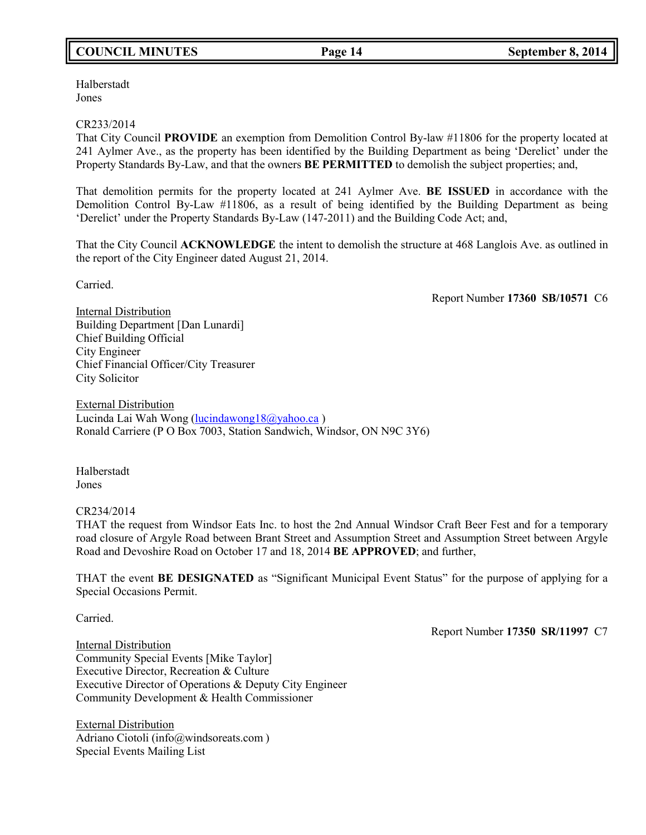# **COUNCIL MINUTES Page 14 September 8, 2014**

Halberstadt Jones

### CR233/2014

That City Council **PROVIDE** an exemption from Demolition Control By-law #11806 for the property located at 241 Aylmer Ave., as the property has been identified by the Building Department as being 'Derelict' under the Property Standards By-Law, and that the owners **BE PERMITTED** to demolish the subject properties; and,

That demolition permits for the property located at 241 Aylmer Ave. **BE ISSUED** in accordance with the Demolition Control By-Law #11806, as a result of being identified by the Building Department as being 'Derelict' under the Property Standards By-Law (147-2011) and the Building Code Act; and,

That the City Council **ACKNOWLEDGE** the intent to demolish the structure at 468 Langlois Ave. as outlined in the report of the City Engineer dated August 21, 2014.

Carried.

Report Number **17360 SB/10571** C6

Internal Distribution Building Department [Dan Lunardi] Chief Building Official City Engineer Chief Financial Officer/City Treasurer City Solicitor

External Distribution Lucinda Lai Wah Wong [\(lucindawong18@yahoo.ca](mailto:lucindawong18@yahoo.ca) ) Ronald Carriere (P O Box 7003, Station Sandwich, Windsor, ON N9C 3Y6)

Halberstadt Jones

### CR234/2014

THAT the request from Windsor Eats Inc. to host the 2nd Annual Windsor Craft Beer Fest and for a temporary road closure of Argyle Road between Brant Street and Assumption Street and Assumption Street between Argyle Road and Devoshire Road on October 17 and 18, 2014 **BE APPROVED**; and further,

THAT the event **BE DESIGNATED** as "Significant Municipal Event Status" for the purpose of applying for a Special Occasions Permit.

Carried.

Report Number **17350 SR/11997** C7

Internal Distribution Community Special Events [Mike Taylor] Executive Director, Recreation & Culture Executive Director of Operations & Deputy City Engineer Community Development & Health Commissioner

External Distribution Adriano Ciotoli [\(info@windsoreats.com](mailto:(info@windsoreats.com) ) Special Events Mailing List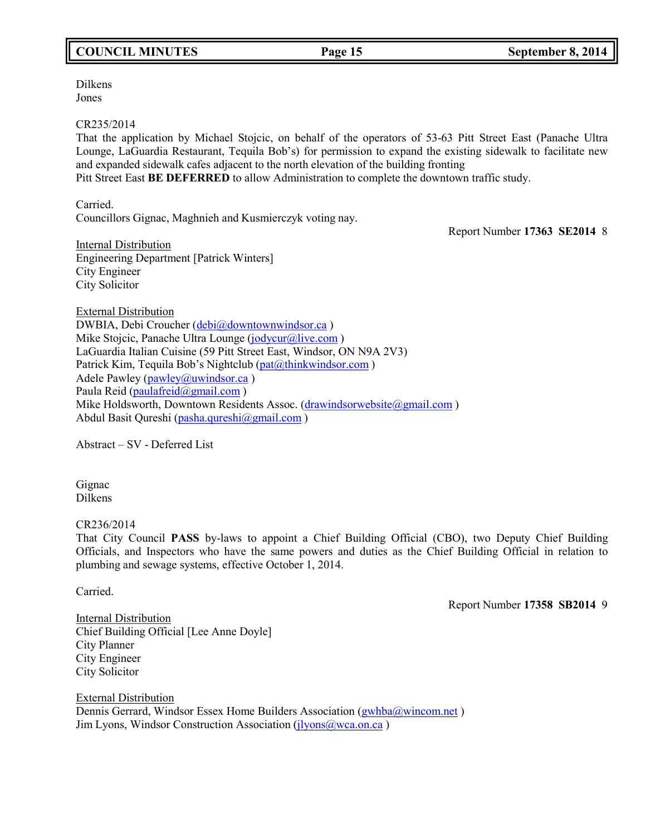# **COUNCIL MINUTES Page 15 September 8, 2014**

Dilkens Jones

### CR235/2014

That the application by Michael Stojcic, on behalf of the operators of 53-63 Pitt Street East (Panache Ultra Lounge, LaGuardia Restaurant, Tequila Bob's) for permission to expand the existing sidewalk to facilitate new and expanded sidewalk cafes adjacent to the north elevation of the building fronting Pitt Street East **BE DEFERRED** to allow Administration to complete the downtown traffic study.

Carried.

Councillors Gignac, Maghnieh and Kusmierczyk voting nay.

Report Number **17363 SE2014** 8

Internal Distribution Engineering Department [Patrick Winters] City Engineer City Solicitor

External Distribution DWBIA, Debi Croucher [\(debi@downtownwindsor.ca](mailto:debi@downtownwindsor.ca) ) Mike Stojcic, Panache Ultra Lounge [\(jodycur@live.com](mailto:jodycur@live.com)) LaGuardia Italian Cuisine (59 Pitt Street East, Windsor, ON N9A 2V3) Patrick Kim, Tequila Bob's Nightclub [\(pat@thinkwindsor.com](mailto:pat@thinkwindsor.com)) Adele Pawley ( $pawley@uwindsor.ca$ ) Paula Reid [\(paulafreid@gmail.com](mailto:paulafreid@gmail.com) ) Mike Holdsworth, Downtown Residents Assoc. [\(drawindsorwebsite@gmail.com](mailto:drawindsorwebsite@gmail.com)) Abdul Basit Qureshi [\(pasha.qureshi@gmail.com](mailto:pasha.qureshi@gmail.com))

Abstract – SV - Deferred List

Gignac Dilkens

## CR236/2014

That City Council **PASS** by-laws to appoint a Chief Building Official (CBO), two Deputy Chief Building Officials, and Inspectors who have the same powers and duties as the Chief Building Official in relation to plumbing and sewage systems, effective October 1, 2014.

Carried.

Report Number **17358 SB2014** 9

**Internal Distribution** Chief Building Official [Lee Anne Doyle] City Planner City Engineer City Solicitor

External Distribution Dennis Gerrard, Windsor Essex Home Builders Association [\(gwhba@wincom.net](mailto:gwhba@wincom.net) ) Jim Lyons, Windsor Construction Association ( $\frac{1}{1}$ yons@wca.on.ca)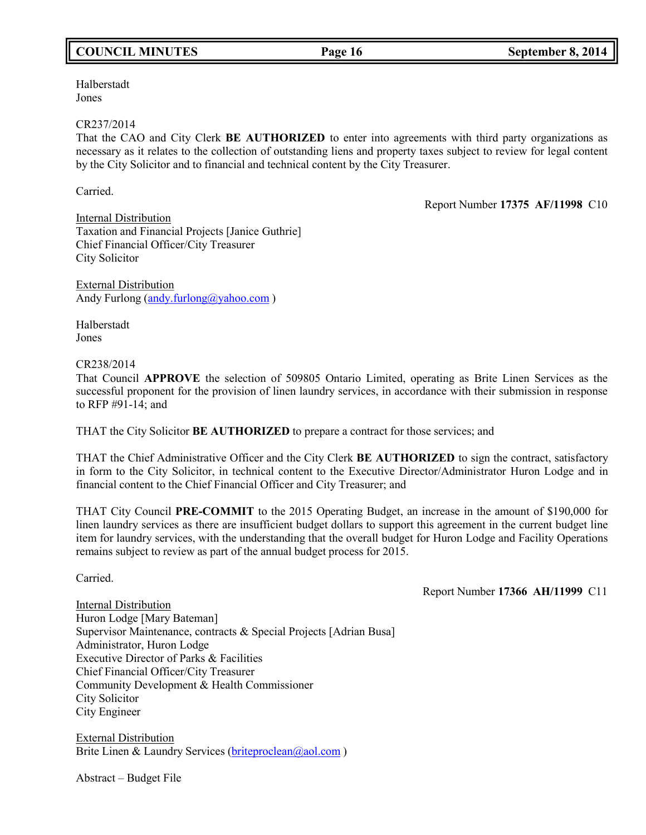# **COUNCIL MINUTES Page 16 September 8, 2014**

Halberstadt Jones

### CR237/2014

That the CAO and City Clerk **BE AUTHORIZED** to enter into agreements with third party organizations as necessary as it relates to the collection of outstanding liens and property taxes subject to review for legal content by the City Solicitor and to financial and technical content by the City Treasurer.

Carried.

Report Number **17375 AF/11998** C10

Internal Distribution Taxation and Financial Projects [Janice Guthrie] Chief Financial Officer/City Treasurer City Solicitor

External Distribution Andy Furlong [\(andy.furlong@yahoo.com](mailto:andy.furlong@yahoo.com))

Halberstadt Jones

## CR238/2014

That Council **APPROVE** the selection of 509805 Ontario Limited, operating as Brite Linen Services as the successful proponent for the provision of linen laundry services, in accordance with their submission in response to RFP #91-14; and

THAT the City Solicitor **BE AUTHORIZED** to prepare a contract for those services; and

THAT the Chief Administrative Officer and the City Clerk **BE AUTHORIZED** to sign the contract, satisfactory in form to the City Solicitor, in technical content to the Executive Director/Administrator Huron Lodge and in financial content to the Chief Financial Officer and City Treasurer; and

THAT City Council **PRE-COMMIT** to the 2015 Operating Budget, an increase in the amount of \$190,000 for linen laundry services as there are insufficient budget dollars to support this agreement in the current budget line item for laundry services, with the understanding that the overall budget for Huron Lodge and Facility Operations remains subject to review as part of the annual budget process for 2015.

Carried.

Report Number **17366 AH/11999** C11

Internal Distribution Huron Lodge [Mary Bateman] Supervisor Maintenance, contracts & Special Projects [Adrian Busa] Administrator, Huron Lodge Executive Director of Parks & Facilities Chief Financial Officer/City Treasurer Community Development & Health Commissioner City Solicitor City Engineer

External Distribution Brite Linen & Laundry Services [\(briteproclean@aol.com](mailto:briteproclean@aol.com))

Abstract – Budget File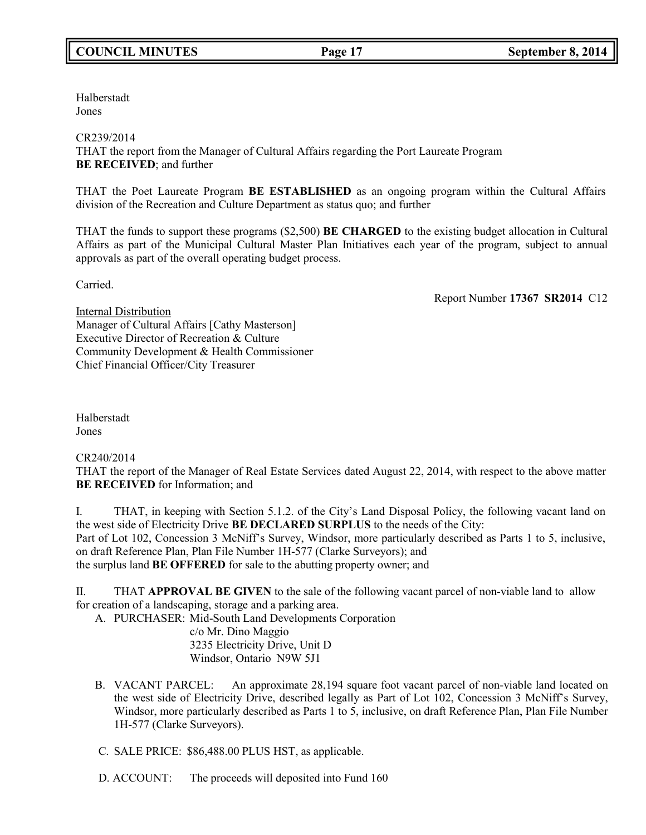Halberstadt Jones

## CR239/2014

THAT the report from the Manager of Cultural Affairs regarding the Port Laureate Program **BE RECEIVED**; and further

THAT the Poet Laureate Program **BE ESTABLISHED** as an ongoing program within the Cultural Affairs division of the Recreation and Culture Department as status quo; and further

THAT the funds to support these programs (\$2,500) **BE CHARGED** to the existing budget allocation in Cultural Affairs as part of the Municipal Cultural Master Plan Initiatives each year of the program, subject to annual approvals as part of the overall operating budget process.

Carried.

Report Number **17367 SR2014** C12

Internal Distribution Manager of Cultural Affairs [Cathy Masterson] Executive Director of Recreation & Culture Community Development & Health Commissioner Chief Financial Officer/City Treasurer

Halberstadt Jones

CR240/2014

THAT the report of the Manager of Real Estate Services dated August 22, 2014, with respect to the above matter **BE RECEIVED** for Information; and

I. THAT, in keeping with Section 5.1.2. of the City's Land Disposal Policy, the following vacant land on the west side of Electricity Drive **BE DECLARED SURPLUS** to the needs of the City: Part of Lot 102, Concession 3 McNiff's Survey, Windsor, more particularly described as Parts 1 to 5, inclusive, on draft Reference Plan, Plan File Number 1H-577 (Clarke Surveyors); and the surplus land **BE OFFERED** for sale to the abutting property owner; and

II. THAT **APPROVAL BE GIVEN** to the sale of the following vacant parcel of non-viable land to allow for creation of a landscaping, storage and a parking area.

A. PURCHASER: Mid-South Land Developments Corporation

c/o Mr. Dino Maggio 3235 Electricity Drive, Unit D Windsor, Ontario N9W 5J1

B. VACANT PARCEL: An approximate 28,194 square foot vacant parcel of non-viable land located on the west side of Electricity Drive, described legally as Part of Lot 102, Concession 3 McNiff's Survey, Windsor, more particularly described as Parts 1 to 5, inclusive, on draft Reference Plan, Plan File Number 1H-577 (Clarke Surveyors).

C. SALE PRICE: \$86,488.00 PLUS HST, as applicable.

D. ACCOUNT: The proceeds will deposited into Fund 160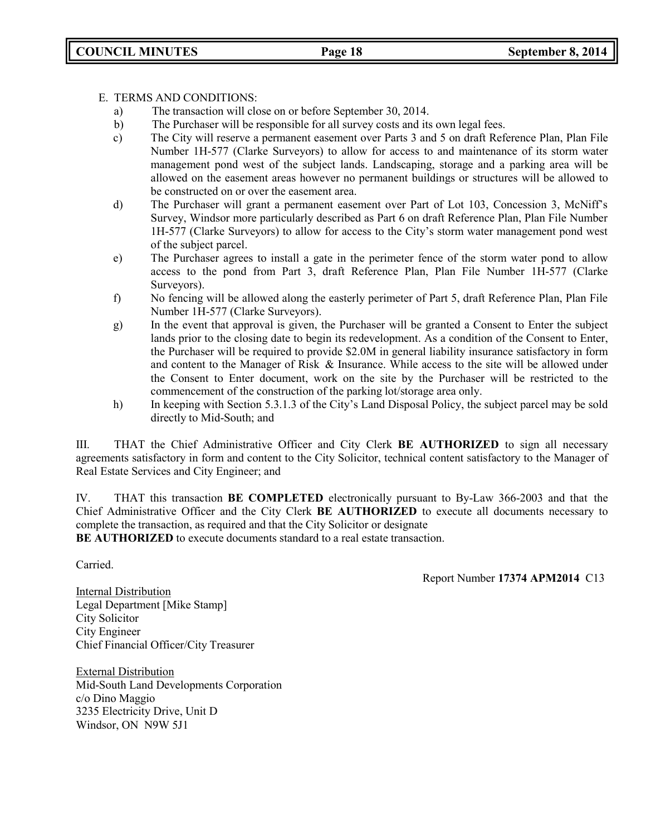## E. TERMS AND CONDITIONS:

- a) The transaction will close on or before September 30, 2014.
- b) The Purchaser will be responsible for all survey costs and its own legal fees.
- c) The City will reserve a permanent easement over Parts 3 and 5 on draft Reference Plan, Plan File Number 1H-577 (Clarke Surveyors) to allow for access to and maintenance of its storm water management pond west of the subject lands. Landscaping, storage and a parking area will be allowed on the easement areas however no permanent buildings or structures will be allowed to be constructed on or over the easement area.
- d) The Purchaser will grant a permanent easement over Part of Lot 103, Concession 3, McNiff's Survey, Windsor more particularly described as Part 6 on draft Reference Plan, Plan File Number 1H-577 (Clarke Surveyors) to allow for access to the City's storm water management pond west of the subject parcel.
- e) The Purchaser agrees to install a gate in the perimeter fence of the storm water pond to allow access to the pond from Part 3, draft Reference Plan, Plan File Number 1H-577 (Clarke Surveyors).
- f) No fencing will be allowed along the easterly perimeter of Part 5, draft Reference Plan, Plan File Number 1H-577 (Clarke Surveyors).
- g) In the event that approval is given, the Purchaser will be granted a Consent to Enter the subject lands prior to the closing date to begin its redevelopment. As a condition of the Consent to Enter, the Purchaser will be required to provide \$2.0M in general liability insurance satisfactory in form and content to the Manager of Risk & Insurance. While access to the site will be allowed under the Consent to Enter document, work on the site by the Purchaser will be restricted to the commencement of the construction of the parking lot/storage area only.
- h) In keeping with Section 5.3.1.3 of the City's Land Disposal Policy, the subject parcel may be sold directly to Mid-South; and

III. THAT the Chief Administrative Officer and City Clerk **BE AUTHORIZED** to sign all necessary agreements satisfactory in form and content to the City Solicitor, technical content satisfactory to the Manager of Real Estate Services and City Engineer; and

IV. THAT this transaction **BE COMPLETED** electronically pursuant to By-Law 366-2003 and that the Chief Administrative Officer and the City Clerk **BE AUTHORIZED** to execute all documents necessary to complete the transaction, as required and that the City Solicitor or designate

**BE AUTHORIZED** to execute documents standard to a real estate transaction.

Carried.

Report Number **17374 APM2014** C13

Internal Distribution Legal Department [Mike Stamp] City Solicitor City Engineer Chief Financial Officer/City Treasurer

External Distribution Mid-South Land Developments Corporation c/o Dino Maggio 3235 Electricity Drive, Unit D Windsor, ON N9W 5J1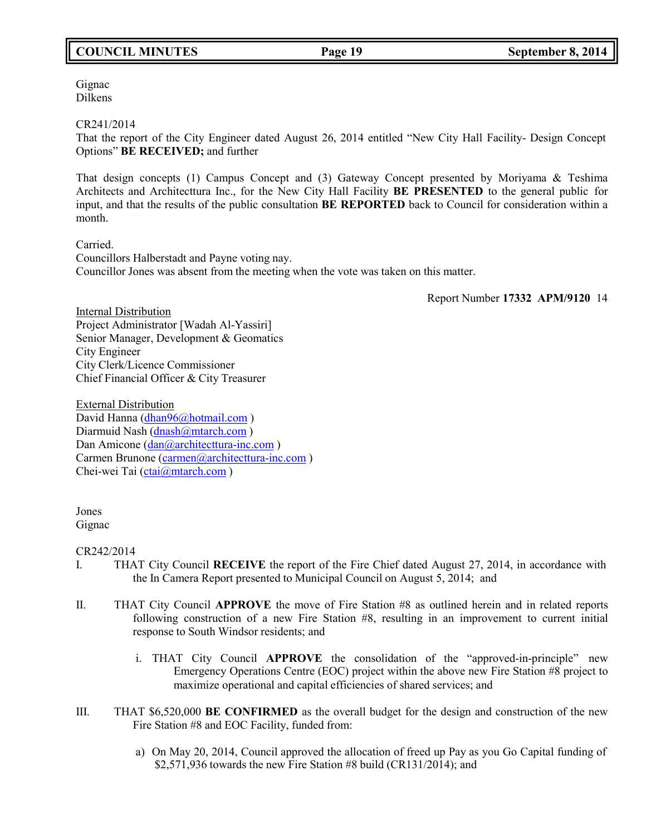# **COUNCIL MINUTES Page 19 September 8, 2014**

Gignac Dilkens

CR241/2014

That the report of the City Engineer dated August 26, 2014 entitled "New City Hall Facility- Design Concept Options" **BE RECEIVED;** and further

That design concepts (1) Campus Concept and (3) Gateway Concept presented by Moriyama & Teshima Architects and Architecttura Inc., for the New City Hall Facility **BE PRESENTED** to the general public for input, and that the results of the public consultation **BE REPORTED** back to Council for consideration within a month.

Carried.

Councillors Halberstadt and Payne voting nay. Councillor Jones was absent from the meeting when the vote was taken on this matter.

Report Number **17332 APM/9120** 14

Internal Distribution Project Administrator [Wadah Al-Yassiri] Senior Manager, Development & Geomatics City Engineer City Clerk/Licence Commissioner Chief Financial Officer & City Treasurer

External Distribution David Hanna [\(dhan96@hotmail.com](mailto:dhan96@hotmail.com) ) Diarmuid Nash [\(dnash@mtarch.com](mailto:dnash@mtarch.com)) Dan Amicone [\(dan@architecttura-inc.com](mailto:dan@architecttura-inc.com)) Carmen Brunone [\(carmen@architecttura-inc.com](mailto:carmen@architecttura-inc.com)) Chei-wei Tai [\(ctai@mtarch.com](mailto:ctai@mtarch.com) )

Jones Gignac

CR242/2014

- I. THAT City Council **RECEIVE** the report of the Fire Chief dated August 27, 2014, in accordance with the In Camera Report presented to Municipal Council on August 5, 2014; and
- II. THAT City Council **APPROVE** the move of Fire Station #8 as outlined herein and in related reports following construction of a new Fire Station #8, resulting in an improvement to current initial response to South Windsor residents; and
	- i. THAT City Council **APPROVE** the consolidation of the "approved-in-principle" new Emergency Operations Centre (EOC) project within the above new Fire Station #8 project to maximize operational and capital efficiencies of shared services; and
- III. THAT \$6,520,000 **BE CONFIRMED** as the overall budget for the design and construction of the new Fire Station #8 and EOC Facility, funded from:
	- a) On May 20, 2014, Council approved the allocation of freed up Pay as you Go Capital funding of \$2,571,936 towards the new Fire Station #8 build (CR131/2014); and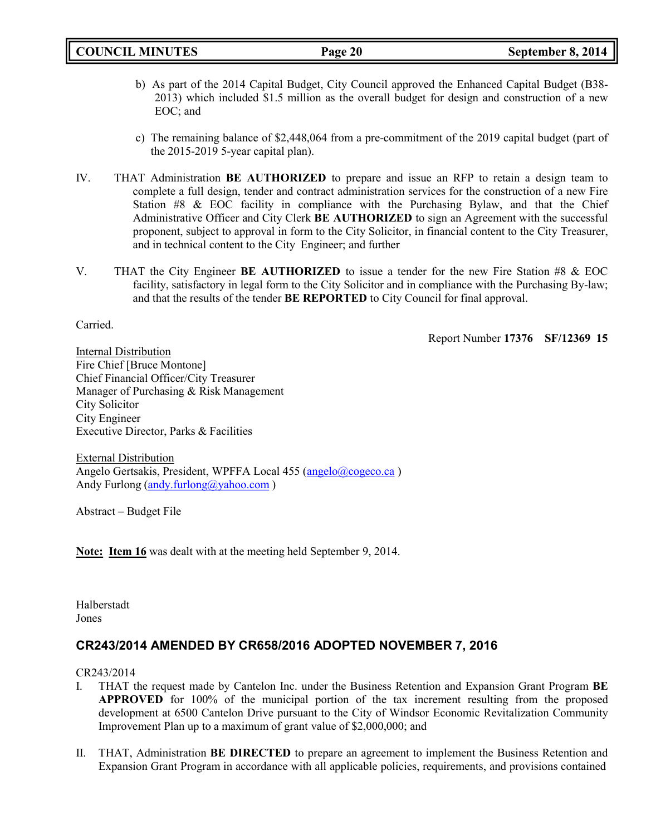- b) As part of the 2014 Capital Budget, City Council approved the Enhanced Capital Budget (B38- 2013) which included \$1.5 million as the overall budget for design and construction of a new EOC; and
- c) The remaining balance of \$2,448,064 from a pre-commitment of the 2019 capital budget (part of the 2015-2019 5-year capital plan).
- IV. THAT Administration **BE AUTHORIZED** to prepare and issue an RFP to retain a design team to complete a full design, tender and contract administration services for the construction of a new Fire Station #8 & EOC facility in compliance with the Purchasing Bylaw, and that the Chief Administrative Officer and City Clerk **BE AUTHORIZED** to sign an Agreement with the successful proponent, subject to approval in form to the City Solicitor, in financial content to the City Treasurer, and in technical content to the City Engineer; and further
- V. THAT the City Engineer **BE AUTHORIZED** to issue a tender for the new Fire Station #8 & EOC facility, satisfactory in legal form to the City Solicitor and in compliance with the Purchasing By-law; and that the results of the tender **BE REPORTED** to City Council for final approval.

Carried.

Report Number **17376 SF/12369 15**

Internal Distribution Fire Chief [Bruce Montone] Chief Financial Officer/City Treasurer Manager of Purchasing & Risk Management City Solicitor City Engineer Executive Director, Parks & Facilities

External Distribution Angelo Gertsakis, President, WPFFA Local 455 [\(angelo@cogeco.ca](mailto:angelo@cogeco.ca)) Andy Furlong [\(andy.furlong@yahoo.com](mailto:andy.furlong@yahoo.com))

Abstract – Budget File

**Note: Item 16** was dealt with at the meeting held September 9, 2014.

Halberstadt Jones

# **CR243/2014 AMENDED BY CR658/2016 ADOPTED NOVEMBER 7, 2016**

## CR243/2014

- I. THAT the request made by Cantelon Inc. under the Business Retention and Expansion Grant Program **BE APPROVED** for 100% of the municipal portion of the tax increment resulting from the proposed development at 6500 Cantelon Drive pursuant to the City of Windsor Economic Revitalization Community Improvement Plan up to a maximum of grant value of \$2,000,000; and
- II. THAT, Administration **BE DIRECTED** to prepare an agreement to implement the Business Retention and Expansion Grant Program in accordance with all applicable policies, requirements, and provisions contained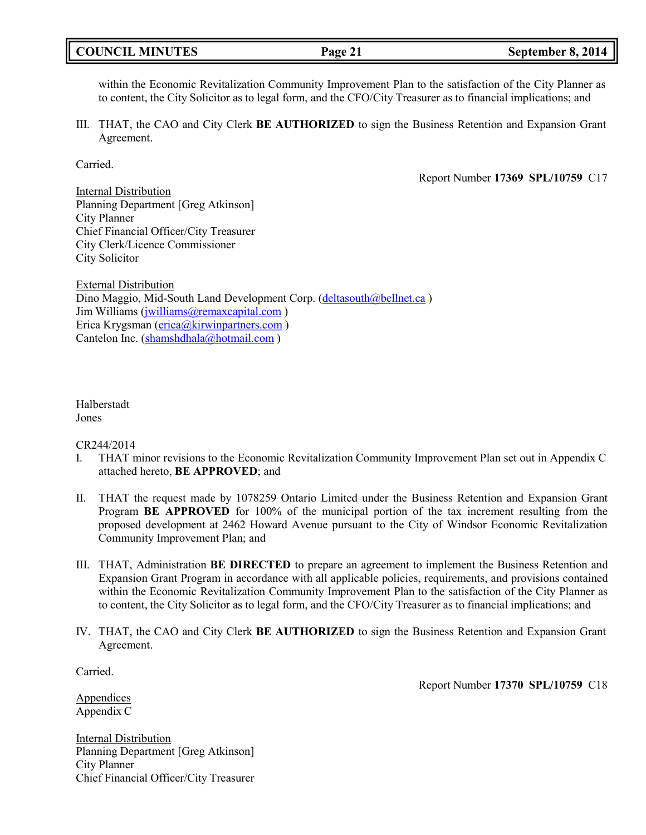# **COUNCIL MINUTES Page 21 September 8, 2014**

within the Economic Revitalization Community Improvement Plan to the satisfaction of the City Planner as to content, the City Solicitor as to legal form, and the CFO/City Treasurer as to financial implications; and

III. THAT, the CAO and City Clerk **BE AUTHORIZED** to sign the Business Retention and Expansion Grant Agreement.

Carried.

Report Number **17369 SPL/10759** C17

Internal Distribution Planning Department [Greg Atkinson] City Planner Chief Financial Officer/City Treasurer City Clerk/Licence Commissioner City Solicitor

External Distribution Dino Maggio, Mid-South Land Development Corp. [\(deltasouth@bellnet.ca](mailto:deltasouth@bellnet.ca)) Jim Williams [\(jwilliams@remaxcapital.com](mailto:jwilliams@remaxcapital.com)) Erica Krygsman [\(erica@kirwinpartners.com](mailto:erica@kirwinpartners.com) ) Cantelon Inc. [\(shamshdhala@hotmail.com](mailto:shamshdhala@hotmail.com))

Halberstadt Jones

CR244/2014

- I. THAT minor revisions to the Economic Revitalization Community Improvement Plan set out in Appendix C attached hereto, **BE APPROVED**; and
- II. THAT the request made by 1078259 Ontario Limited under the Business Retention and Expansion Grant Program **BE APPROVED** for 100% of the municipal portion of the tax increment resulting from the proposed development at 2462 Howard Avenue pursuant to the City of Windsor Economic Revitalization Community Improvement Plan; and
- III. THAT, Administration **BE DIRECTED** to prepare an agreement to implement the Business Retention and Expansion Grant Program in accordance with all applicable policies, requirements, and provisions contained within the Economic Revitalization Community Improvement Plan to the satisfaction of the City Planner as to content, the City Solicitor as to legal form, and the CFO/City Treasurer as to financial implications; and
- IV. THAT, the CAO and City Clerk **BE AUTHORIZED** to sign the Business Retention and Expansion Grant Agreement.

Carried.

Report Number **17370 SPL/10759** C18

Appendices Appendix C

Internal Distribution Planning Department [Greg Atkinson] City Planner Chief Financial Officer/City Treasurer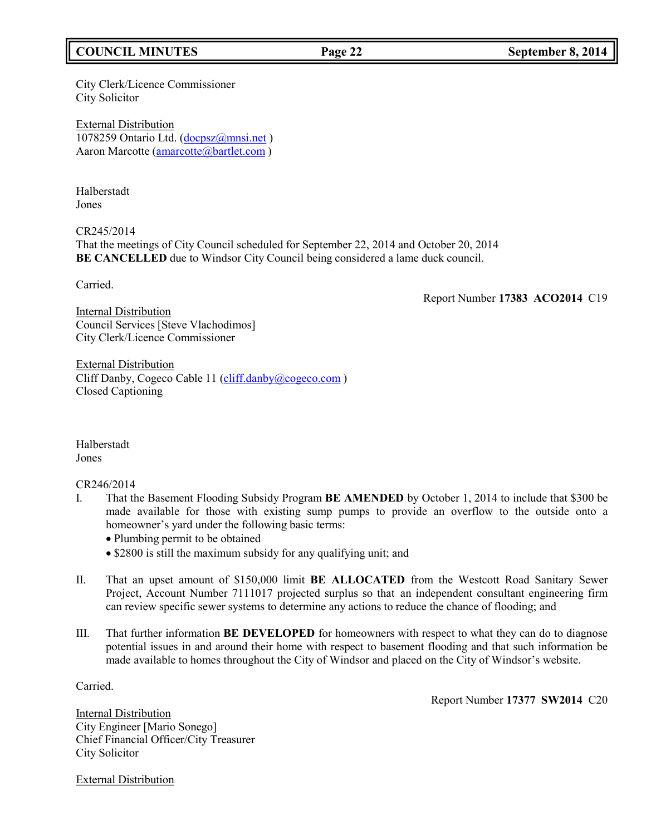# **COUNCIL MINUTES Page 22 September 8, 2014**

City Clerk/Licence Commissioner City Solicitor

External Distribution 1078259 Ontario Ltd. [\(docpsz@mnsi.net](mailto:docpsz@mnsi.net)) Aaron Marcotte [\(amarcotte@bartlet.com](mailto:amarcotte@bartlet.com))

Halberstadt Jones

CR245/2014 That the meetings of City Council scheduled for September 22, 2014 and October 20, 2014 **BE CANCELLED** due to Windsor City Council being considered a lame duck council.

Carried.

Report Number **17383 ACO2014** C19

Internal Distribution Council Services [Steve Vlachodimos] City Clerk/Licence Commissioner

External Distribution Cliff Danby, Cogeco Cable 11 [\(cliff.danby@cogeco.com](mailto:cliff.danby@cogeco.com) ) Closed Captioning

Halberstadt Jones

CR246/2014

- I. That the Basement Flooding Subsidy Program **BE AMENDED** by October 1, 2014 to include that \$300 be made available for those with existing sump pumps to provide an overflow to the outside onto a homeowner's yard under the following basic terms:
	- Plumbing permit to be obtained
	- \$2800 is still the maximum subsidy for any qualifying unit; and
- II. That an upset amount of \$150,000 limit **BE ALLOCATED** from the Westcott Road Sanitary Sewer Project, Account Number 7111017 projected surplus so that an independent consultant engineering firm can review specific sewer systems to determine any actions to reduce the chance of flooding; and
- III. That further information **BE DEVELOPED** for homeowners with respect to what they can do to diagnose potential issues in and around their home with respect to basement flooding and that such information be made available to homes throughout the City of Windsor and placed on the City of Windsor's website.

Carried.

Report Number **17377 SW2014** C20

Internal Distribution City Engineer [Mario Sonego] Chief Financial Officer/City Treasurer City Solicitor

External Distribution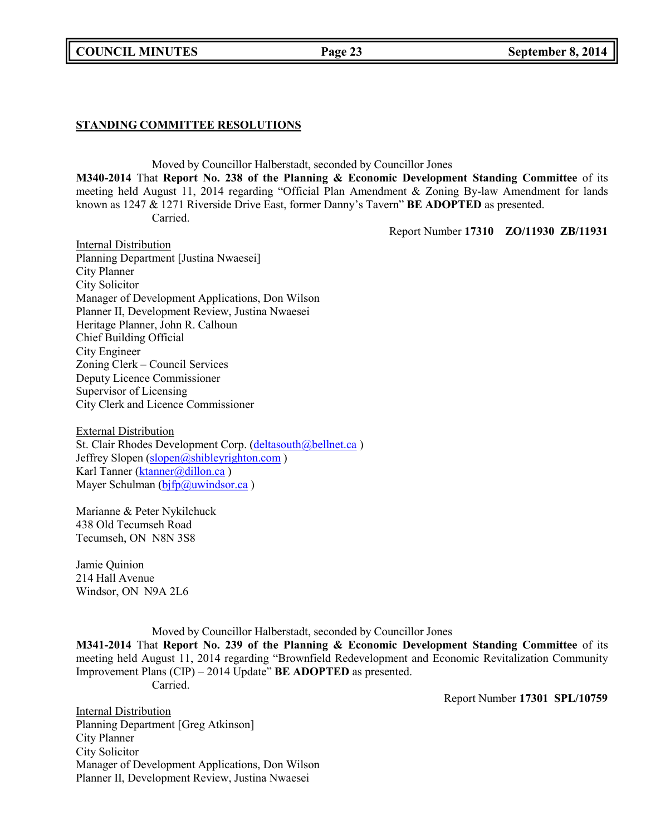## **COUNCIL MINUTES Page 23 September 8, 2014**

## **STANDING COMMITTEE RESOLUTIONS**

Moved by Councillor Halberstadt, seconded by Councillor Jones **M340-2014** That **Report No. 238 of the Planning & Economic Development Standing Committee** of its meeting held August 11, 2014 regarding "Official Plan Amendment & Zoning By-law Amendment for lands known as 1247 & 1271 Riverside Drive East, former Danny's Tavern" **BE ADOPTED** as presented. Carried.

Report Number **17310 ZO/11930 ZB/11931**

Internal Distribution Planning Department [Justina Nwaesei] City Planner City Solicitor Manager of Development Applications, Don Wilson Planner II, Development Review, Justina Nwaesei Heritage Planner, John R. Calhoun Chief Building Official City Engineer Zoning Clerk – Council Services Deputy Licence Commissioner Supervisor of Licensing City Clerk and Licence Commissioner

External Distribution St. Clair Rhodes Development Corp. [\(deltasouth@bellnet.ca](mailto:deltasouth@bellnet.ca) ) Jeffrey Slopen [\(slopen@shibleyrighton.com](mailto:slopen@shibleyrighton.com)) Karl Tanner [\(ktanner@dillon.ca](mailto:ktanner@dillon.ca)) Mayer Schulman  $(bifp@uwindsor.ca)$ 

Marianne & Peter Nykilchuck 438 Old Tecumseh Road Tecumseh, ON N8N 3S8

Jamie Quinion 214 Hall Avenue Windsor, ON N9A 2L6

Moved by Councillor Halberstadt, seconded by Councillor Jones

**M341-2014** That **Report No. 239 of the Planning & Economic Development Standing Committee** of its meeting held August 11, 2014 regarding "Brownfield Redevelopment and Economic Revitalization Community Improvement Plans (CIP) – 2014 Update" **BE ADOPTED** as presented. Carried.

Report Number **17301 SPL/10759**

Internal Distribution Planning Department [Greg Atkinson] City Planner City Solicitor Manager of Development Applications, Don Wilson Planner II, Development Review, Justina Nwaesei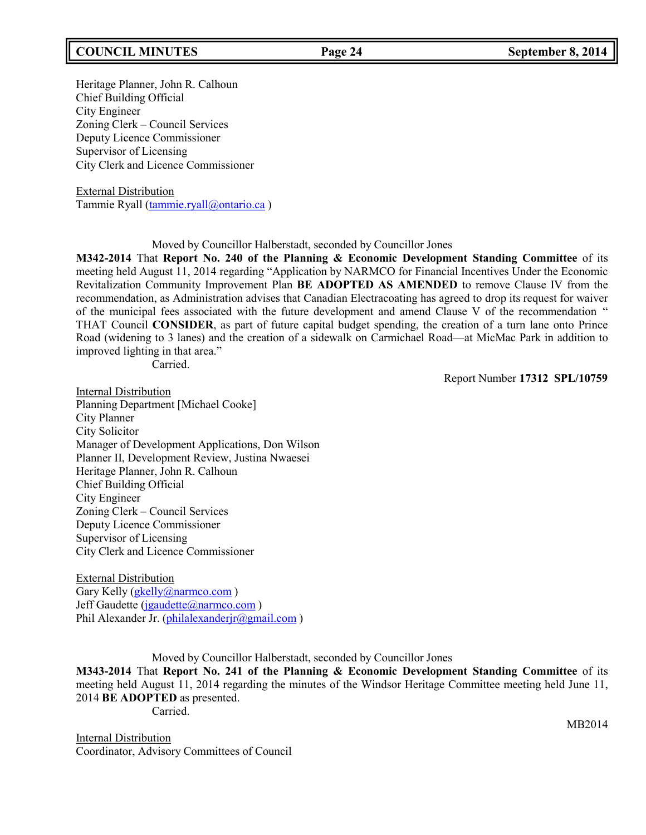## **COUNCIL MINUTES Page 24 September 8, 2014**

## Heritage Planner, John R. Calhoun Chief Building Official City Engineer Zoning Clerk – Council Services Deputy Licence Commissioner Supervisor of Licensing City Clerk and Licence Commissioner

External Distribution Tammie Ryall [\(tammie.ryall@ontario.ca](mailto:tammie.ryall@ontario.ca) )

Moved by Councillor Halberstadt, seconded by Councillor Jones

**M342-2014** That **Report No. 240 of the Planning & Economic Development Standing Committee** of its meeting held August 11, 2014 regarding "Application by NARMCO for Financial Incentives Under the Economic Revitalization Community Improvement Plan **BE ADOPTED AS AMENDED** to remove Clause IV from the recommendation, as Administration advises that Canadian Electracoating has agreed to drop its request for waiver of the municipal fees associated with the future development and amend Clause V of the recommendation " THAT Council **CONSIDER**, as part of future capital budget spending, the creation of a turn lane onto Prince Road (widening to 3 lanes) and the creation of a sidewalk on Carmichael Road—at MicMac Park in addition to improved lighting in that area."

Carried.

Report Number **17312 SPL/10759**

Internal Distribution Planning Department [Michael Cooke] City Planner City Solicitor Manager of Development Applications, Don Wilson Planner II, Development Review, Justina Nwaesei Heritage Planner, John R. Calhoun Chief Building Official City Engineer Zoning Clerk – Council Services Deputy Licence Commissioner Supervisor of Licensing City Clerk and Licence Commissioner

External Distribution Gary Kelly [\(gkelly@narmco.com](mailto:gkelly@narmco.com)) Jeff Gaudette [\(jgaudette@narmco.com](mailto:jgaudette@narmco.com)) Phil Alexander Jr. [\(philalexanderjr@gmail.com](mailto:philalexanderjr@gmail.com))

Moved by Councillor Halberstadt, seconded by Councillor Jones

**M343-2014** That **Report No. 241 of the Planning & Economic Development Standing Committee** of its meeting held August 11, 2014 regarding the minutes of the Windsor Heritage Committee meeting held June 11, 2014 **BE ADOPTED** as presented.

Carried.

Internal Distribution Coordinator, Advisory Committees of Council MB2014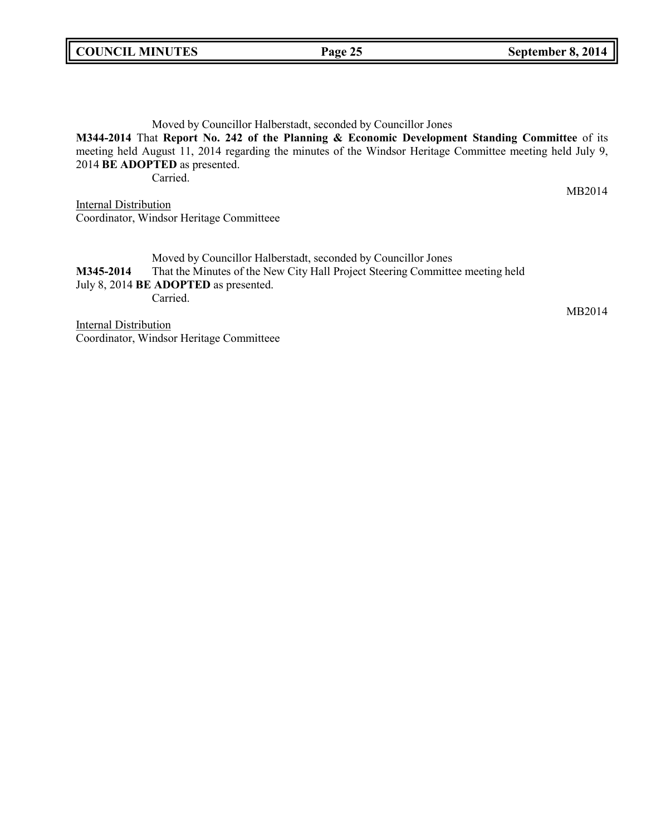# **COUNCIL MINUTES Page 25 September 8, 2014**

Moved by Councillor Halberstadt, seconded by Councillor Jones **M344-2014** That **Report No. 242 of the Planning & Economic Development Standing Committee** of its meeting held August 11, 2014 regarding the minutes of the Windsor Heritage Committee meeting held July 9, 2014 **BE ADOPTED** as presented. Carried.

MB2014

MB2014

**Internal Distribution** Coordinator, Windsor Heritage Committeee

Moved by Councillor Halberstadt, seconded by Councillor Jones **M345-2014** That the Minutes of the New City Hall Project Steering Committee meeting held July 8, 2014 **BE ADOPTED** as presented. Carried.

**Internal Distribution** Coordinator, Windsor Heritage Committeee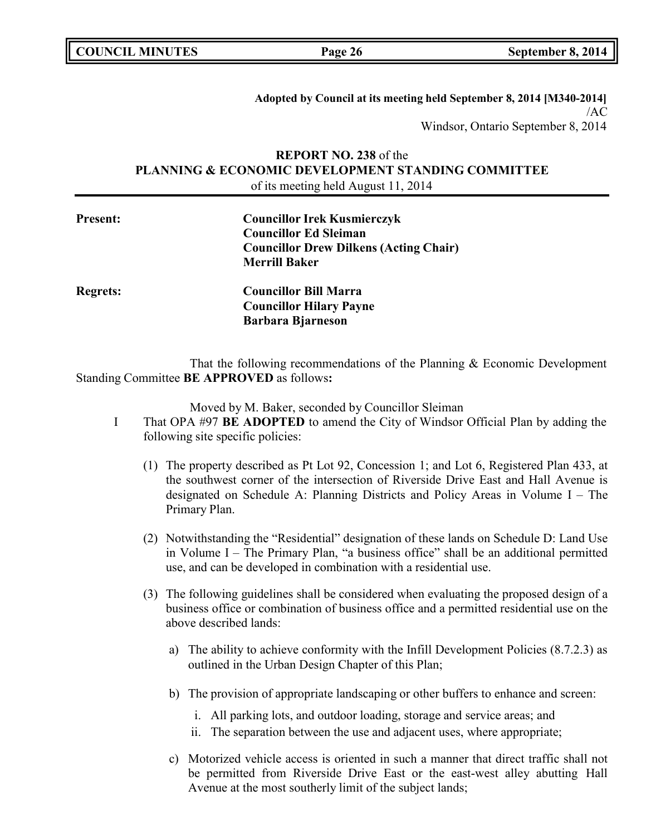**Adopted by Council at its meeting held September 8, 2014 [M340-2014]**  $/AC$ Windsor, Ontario September 8, 2014

# **REPORT NO. 238** of the **PLANNING & ECONOMIC DEVELOPMENT STANDING COMMITTEE** of its meeting held August 11, 2014

| <b>Present:</b> | <b>Councillor Irek Kusmierczyk</b>            |  |
|-----------------|-----------------------------------------------|--|
|                 | <b>Councillor Ed Sleiman</b>                  |  |
|                 | <b>Councillor Drew Dilkens (Acting Chair)</b> |  |
|                 | <b>Merrill Baker</b>                          |  |
| <b>Regrets:</b> | <b>Councillor Bill Marra</b>                  |  |
|                 | <b>Councillor Hilary Payne</b>                |  |
|                 | <b>Barbara Bjarneson</b>                      |  |
|                 |                                               |  |

That the following recommendations of the Planning & Economic Development Standing Committee **BE APPROVED** as follows**:**

Moved by M. Baker, seconded by Councillor Sleiman

- I That OPA #97 **BE ADOPTED** to amend the City of Windsor Official Plan by adding the following site specific policies:
	- (1) The property described as Pt Lot 92, Concession 1; and Lot 6, Registered Plan 433, at the southwest corner of the intersection of Riverside Drive East and Hall Avenue is designated on Schedule A: Planning Districts and Policy Areas in Volume I – The Primary Plan.
	- (2) Notwithstanding the "Residential" designation of these lands on Schedule D: Land Use in Volume I – The Primary Plan, "a business office" shall be an additional permitted use, and can be developed in combination with a residential use.
	- (3) The following guidelines shall be considered when evaluating the proposed design of a business office or combination of business office and a permitted residential use on the above described lands:
		- a) The ability to achieve conformity with the Infill Development Policies (8.7.2.3) as outlined in the Urban Design Chapter of this Plan;
		- b) The provision of appropriate landscaping or other buffers to enhance and screen:
			- i. All parking lots, and outdoor loading, storage and service areas; and
			- ii. The separation between the use and adjacent uses, where appropriate;
		- c) Motorized vehicle access is oriented in such a manner that direct traffic shall not be permitted from Riverside Drive East or the east-west alley abutting Hall Avenue at the most southerly limit of the subject lands;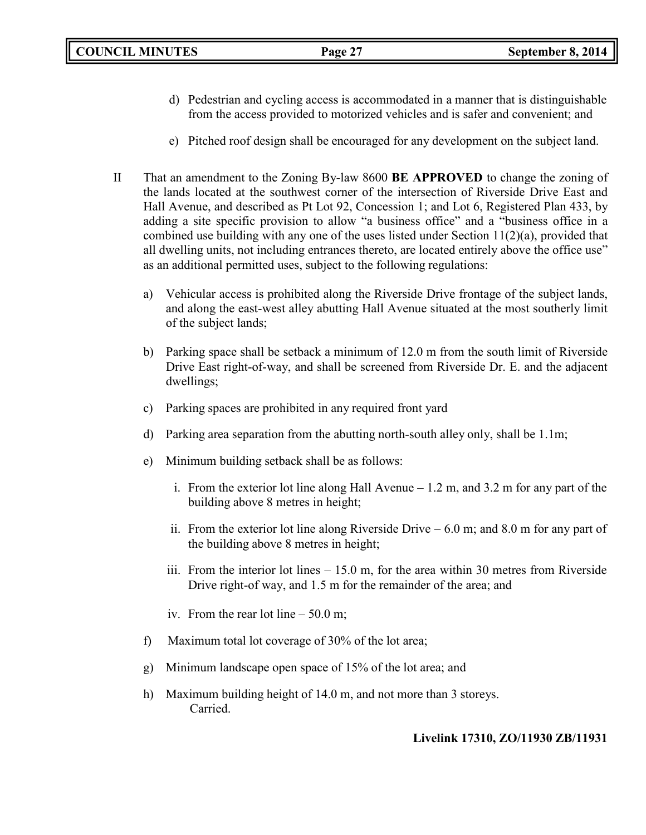- d) Pedestrian and cycling access is accommodated in a manner that is distinguishable from the access provided to motorized vehicles and is safer and convenient; and
- e) Pitched roof design shall be encouraged for any development on the subject land.
- II That an amendment to the Zoning By-law 8600 **BE APPROVED** to change the zoning of the lands located at the southwest corner of the intersection of Riverside Drive East and Hall Avenue, and described as Pt Lot 92, Concession 1; and Lot 6, Registered Plan 433, by adding a site specific provision to allow "a business office" and a "business office in a combined use building with any one of the uses listed under Section 11(2)(a), provided that all dwelling units, not including entrances thereto, are located entirely above the office use" as an additional permitted uses, subject to the following regulations:
	- a) Vehicular access is prohibited along the Riverside Drive frontage of the subject lands, and along the east-west alley abutting Hall Avenue situated at the most southerly limit of the subject lands;
	- b) Parking space shall be setback a minimum of 12.0 m from the south limit of Riverside Drive East right-of-way, and shall be screened from Riverside Dr. E. and the adjacent dwellings;
	- c) Parking spaces are prohibited in any required front yard
	- d) Parking area separation from the abutting north-south alley only, shall be 1.1m;
	- e) Minimum building setback shall be as follows:
		- i. From the exterior lot line along Hall Avenue 1.2 m, and 3.2 m for any part of the building above 8 metres in height;
		- ii. From the exterior lot line along Riverside Drive  $-6.0$  m; and 8.0 m for any part of the building above 8 metres in height;
		- iii. From the interior lot lines  $-15.0$  m, for the area within 30 metres from Riverside Drive right-of way, and 1.5 m for the remainder of the area; and
		- iv. From the rear lot line 50.0 m;
	- f) Maximum total lot coverage of 30% of the lot area;
	- g) Minimum landscape open space of 15% of the lot area; and
	- h) Maximum building height of 14.0 m, and not more than 3 storeys. Carried.

# **Livelink 17310, ZO/11930 ZB/11931**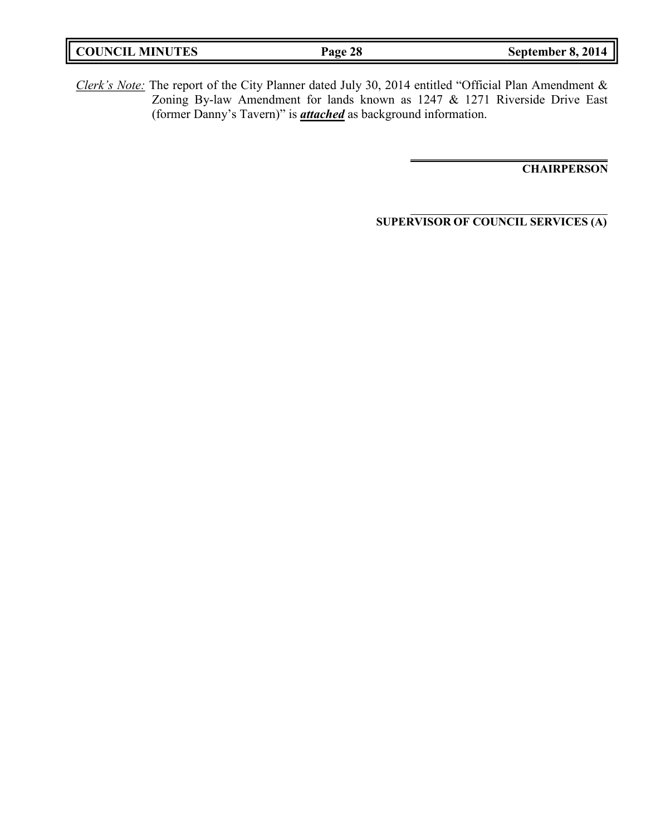| <b>COUNCIL MINUTES</b> | Page 28 | September 8, 2014 |
|------------------------|---------|-------------------|
|                        |         |                   |

*Clerk's Note:* The report of the City Planner dated July 30, 2014 entitled "Official Plan Amendment & Zoning By-law Amendment for lands known as 1247 & 1271 Riverside Drive East (former Danny's Tavern)" is *attached* as background information.

**CHAIRPERSON**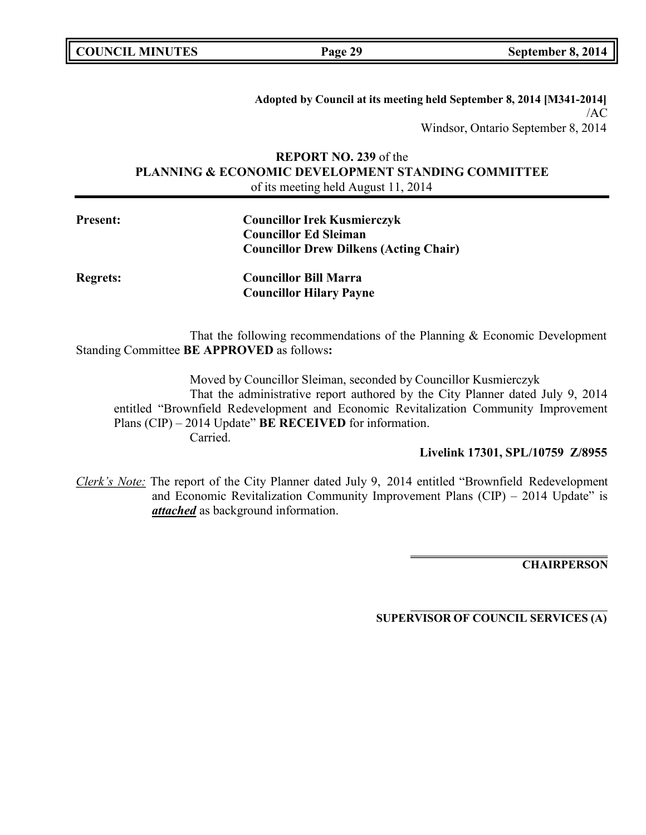**COUNCIL MINUTES Page 29 September 8, 2014**

**Adopted by Council at its meeting held September 8, 2014 [M341-2014]** /AC Windsor, Ontario September 8, 2014

# **REPORT NO. 239** of the **PLANNING & ECONOMIC DEVELOPMENT STANDING COMMITTEE** of its meeting held August 11, 2014

| <b>Councillor Irek Kusmierczyk</b>            |
|-----------------------------------------------|
| <b>Councillor Ed Sleiman</b>                  |
| <b>Councillor Drew Dilkens (Acting Chair)</b> |

**Present:** 

**Regrets: Councillor Bill Marra Councillor Hilary Payne**

That the following recommendations of the Planning & Economic Development Standing Committee **BE APPROVED** as follows**:**

Moved by Councillor Sleiman, seconded by Councillor Kusmierczyk That the administrative report authored by the City Planner dated July 9, 2014 entitled "Brownfield Redevelopment and Economic Revitalization Community Improvement Plans (CIP) – 2014 Update" **BE RECEIVED** for information. Carried.

**Livelink 17301, SPL/10759 Z/8955**

*Clerk's Note:* The report of the City Planner dated July 9, 2014 entitled "Brownfield Redevelopment and Economic Revitalization Community Improvement Plans  $(CIP) - 2014$  Update" is *attached* as background information.

**CHAIRPERSON**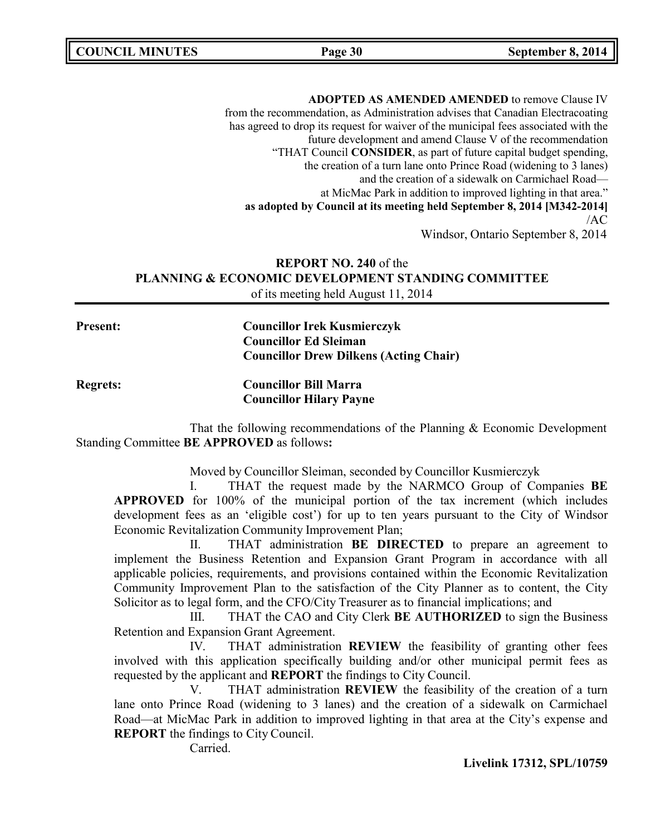**COUNCIL MINUTES Page 30 September 8, 2014**

**ADOPTED AS AMENDED AMENDED** to remove Clause IV from the recommendation, as Administration advises that Canadian Electracoating has agreed to drop its request for waiver of the municipal fees associated with the future development and amend Clause V of the recommendation "THAT Council **CONSIDER**, as part of future capital budget spending, the creation of a turn lane onto Prince Road (widening to 3 lanes) and the creation of a sidewalk on Carmichael Road at MicMac Park in addition to improved lighting in that area." **as adopted by Council at its meeting held September 8, 2014 [M342-2014]** /AC Windsor, Ontario September 8, 2014

**REPORT NO. 240** of the **PLANNING & ECONOMIC DEVELOPMENT STANDING COMMITTEE** of its meeting held August 11, 2014

**Present: Councillor Irek Kusmierczyk Councillor Ed Sleiman Councillor Drew Dilkens (Acting Chair)**

**Regrets: Councillor Bill Marra Councillor Hilary Payne**

That the following recommendations of the Planning  $\&$  Economic Development Standing Committee **BE APPROVED** as follows**:**

Moved by Councillor Sleiman, seconded by Councillor Kusmierczyk

I. THAT the request made by the NARMCO Group of Companies **BE APPROVED** for 100% of the municipal portion of the tax increment (which includes development fees as an 'eligible cost') for up to ten years pursuant to the City of Windsor Economic Revitalization Community Improvement Plan;

II. THAT administration **BE DIRECTED** to prepare an agreement to implement the Business Retention and Expansion Grant Program in accordance with all applicable policies, requirements, and provisions contained within the Economic Revitalization Community Improvement Plan to the satisfaction of the City Planner as to content, the City Solicitor as to legal form, and the CFO/City Treasurer as to financial implications; and

III. THAT the CAO and City Clerk **BE AUTHORIZED** to sign the Business Retention and Expansion Grant Agreement.

IV. THAT administration **REVIEW** the feasibility of granting other fees involved with this application specifically building and/or other municipal permit fees as requested by the applicant and **REPORT** the findings to City Council.

V. THAT administration **REVIEW** the feasibility of the creation of a turn lane onto Prince Road (widening to 3 lanes) and the creation of a sidewalk on Carmichael Road—at MicMac Park in addition to improved lighting in that area at the City's expense and **REPORT** the findings to City Council.

Carried.

**Livelink 17312, SPL/10759**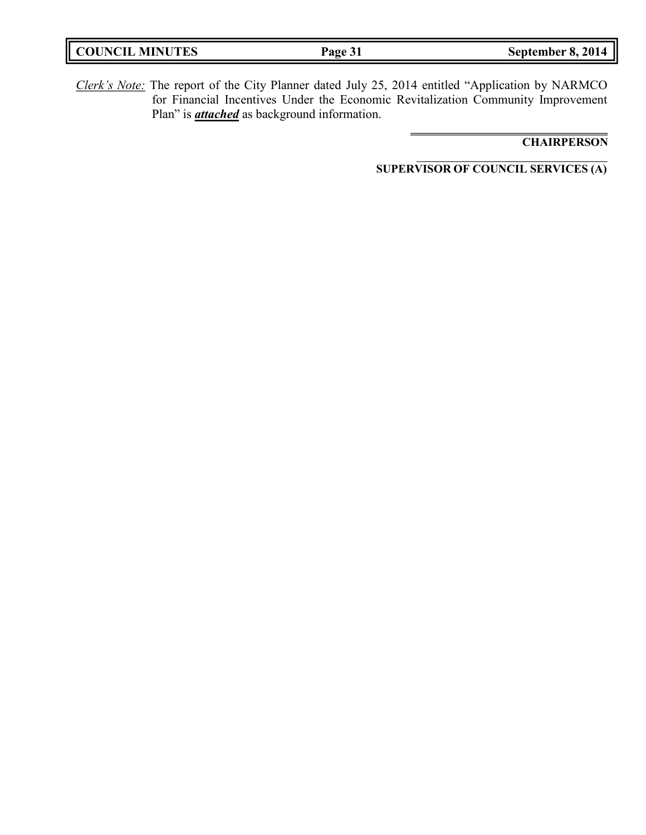| <b>COUNCIL MINUTES</b> | Page 31 | September 8, 2014 |
|------------------------|---------|-------------------|
|                        |         |                   |

*Clerk's Note:* The report of the City Planner dated July 25, 2014 entitled "Application by NARMCO for Financial Incentives Under the Economic Revitalization Community Improvement Plan" is *attached* as background information.

# **CHAIRPERSON**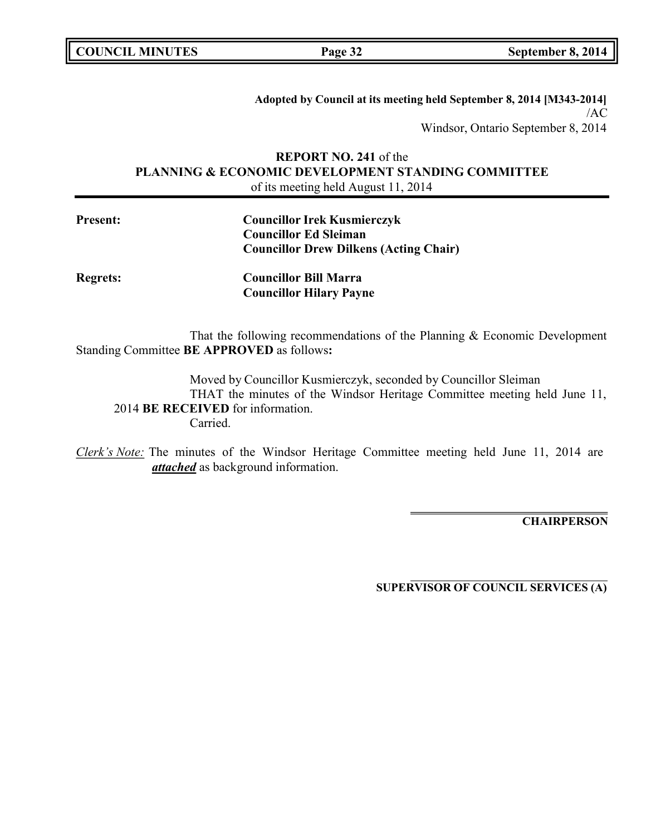| <b>COUNCIL MINUTES</b> |  |
|------------------------|--|
|------------------------|--|

**Adopted by Council at its meeting held September 8, 2014 [M343-2014]** /AC Windsor, Ontario September 8, 2014

# **REPORT NO. 241** of the **PLANNING & ECONOMIC DEVELOPMENT STANDING COMMITTEE** of its meeting held August 11, 2014

| <b>Present:</b> | <b>Councillor Irek Kusmierczyk</b>            |
|-----------------|-----------------------------------------------|
|                 | <b>Councillor Ed Sleiman</b>                  |
|                 | <b>Councillor Drew Dilkens (Acting Chair)</b> |

**Regrets: Councillor Bill Marra Councillor Hilary Payne**

That the following recommendations of the Planning & Economic Development Standing Committee **BE APPROVED** as follows**:**

Moved by Councillor Kusmierczyk, seconded by Councillor Sleiman THAT the minutes of the Windsor Heritage Committee meeting held June 11, 2014 **BE RECEIVED** for information. Carried.

*Clerk's Note:* The minutes of the Windsor Heritage Committee meeting held June 11, 2014 are *attached* as background information.

**CHAIRPERSON**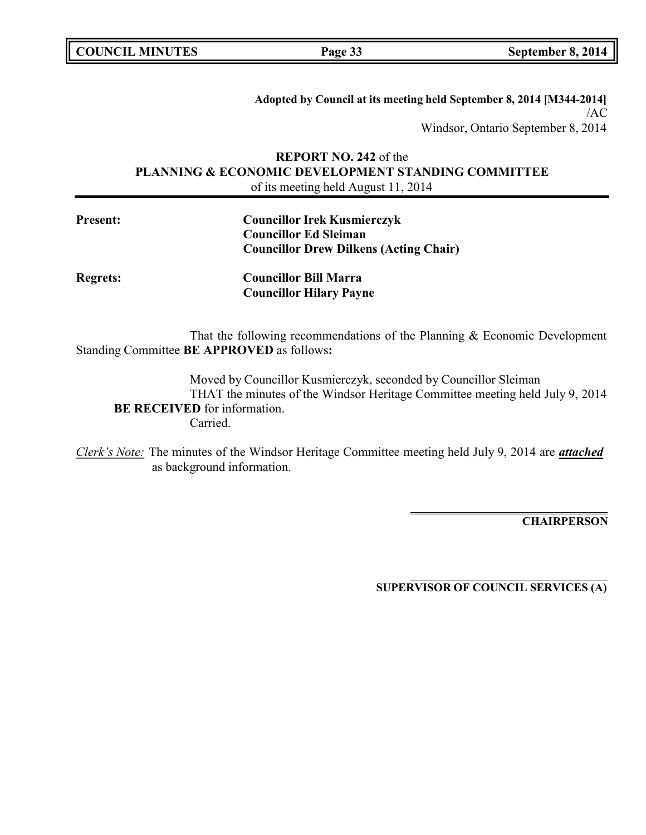| <b>COUNCIL MINUTES</b> |  |
|------------------------|--|
|------------------------|--|

**Adopted by Council at its meeting held September 8, 2014 [M344-2014]** /AC Windsor, Ontario September 8, 2014

# **REPORT NO. 242** of the **PLANNING & ECONOMIC DEVELOPMENT STANDING COMMITTEE** of its meeting held August 11, 2014

| <b>Present:</b> | <b>Councillor Irek Kusmierczyk</b>            |
|-----------------|-----------------------------------------------|
|                 | <b>Councillor Ed Sleiman</b>                  |
|                 | <b>Councillor Drew Dilkens (Acting Chair)</b> |

**Regrets: Councillor Bill Marra Councillor Hilary Payne**

That the following recommendations of the Planning & Economic Development Standing Committee **BE APPROVED** as follows**:**

Moved by Councillor Kusmierczyk, seconded by Councillor Sleiman THAT the minutes of the Windsor Heritage Committee meeting held July 9, 2014 **BE RECEIVED** for information. Carried.

*Clerk's Note:* The minutes of the Windsor Heritage Committee meeting held July 9, 2014 are *attached* as background information.

**CHAIRPERSON**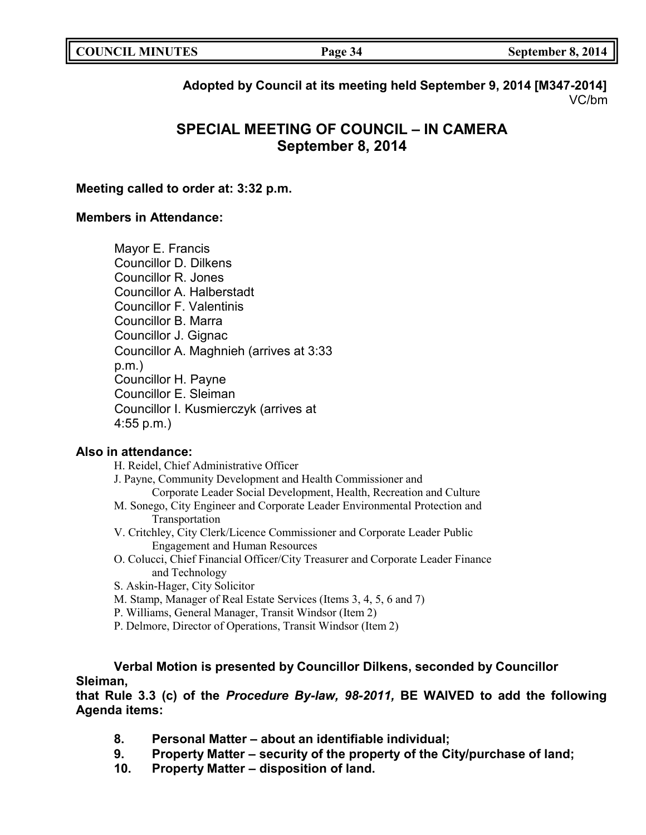| <b>COUNCIL MINUTES</b><br>Page 34 | September 8, 2014 |
|-----------------------------------|-------------------|
|-----------------------------------|-------------------|

**Adopted by Council at its meeting held September 9, 2014 [M347-2014]** VC/bm

# **SPECIAL MEETING OF COUNCIL – IN CAMERA September 8, 2014**

## **Meeting called to order at: 3:32 p.m.**

# **Members in Attendance:**

Mayor E. Francis Councillor D. Dilkens Councillor R. Jones Councillor A. Halberstadt Councillor F. Valentinis Councillor B. Marra Councillor J. Gignac Councillor A. Maghnieh (arrives at 3:33 p.m.) Councillor H. Payne Councillor E. Sleiman Councillor I. Kusmierczyk (arrives at 4:55 p.m.)

# **Also in attendance:**

P. Delmore, Director of Operations, Transit Windsor (Item 2)

**Verbal Motion is presented by Councillor Dilkens, seconded by Councillor Sleiman,**

**that Rule 3.3 (c) of the** *Procedure By-law, 98-2011,* **BE WAIVED to add the following Agenda items:**

- **8. Personal Matter – about an identifiable individual;**
- **9. Property Matter – security of the property of the City/purchase of land;**
- **10. Property Matter – disposition of land.**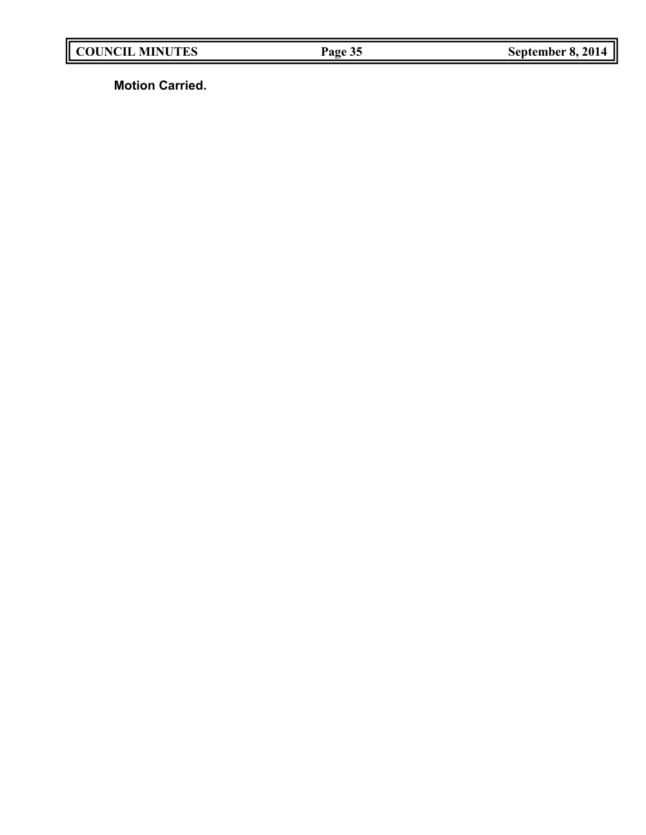**Motion Carried.**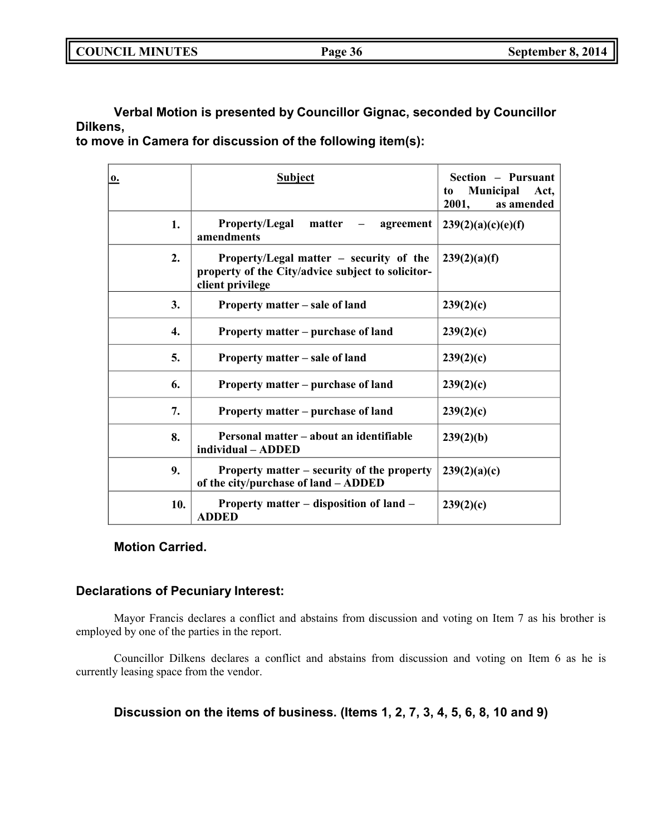| <b>COUNCIL MINUTES</b> | Page 36 | September 8, 2014 |
|------------------------|---------|-------------------|
|                        |         |                   |

**Verbal Motion is presented by Councillor Gignac, seconded by Councillor Dilkens,**

**to move in Camera for discussion of the following item(s):**

| 0.               | <b>Subject</b>                                                                                                     | Section - Pursuant<br><b>Municipal</b><br>Act,<br>to<br>2001,<br>as amended |
|------------------|--------------------------------------------------------------------------------------------------------------------|-----------------------------------------------------------------------------|
| 1.               | <b>Property/Legal</b><br>matter<br>agreement<br>amendments                                                         | 239(2)(a)(c)(e)(f)                                                          |
| $\overline{2}$ . | Property/Legal matter $-$ security of the<br>property of the City/advice subject to solicitor-<br>client privilege | 239(2)(a)(f)                                                                |
| 3.               | Property matter – sale of land                                                                                     | 239(2)(c)                                                                   |
| 4.               | Property matter – purchase of land                                                                                 | 239(2)(c)                                                                   |
| 5.               | Property matter – sale of land                                                                                     | 239(2)(c)                                                                   |
| 6.               | Property matter - purchase of land                                                                                 | 239(2)(c)                                                                   |
| 7.               | Property matter – purchase of land                                                                                 | 239(2)(c)                                                                   |
| 8.               | Personal matter – about an identifiable<br>individual - ADDED                                                      | 239(2)(b)                                                                   |
| 9.               | Property matter – security of the property<br>of the city/purchase of land - ADDED                                 | 239(2)(a)(c)                                                                |
| 10.              | Property matter - disposition of land -<br><b>ADDED</b>                                                            | 239(2)(c)                                                                   |

# **Motion Carried.**

## **Declarations of Pecuniary Interest:**

Mayor Francis declares a conflict and abstains from discussion and voting on Item 7 as his brother is employed by one of the parties in the report.

Councillor Dilkens declares a conflict and abstains from discussion and voting on Item 6 as he is currently leasing space from the vendor.

**Discussion on the items of business. (Items 1, 2, 7, 3, 4, 5, 6, 8, 10 and 9)**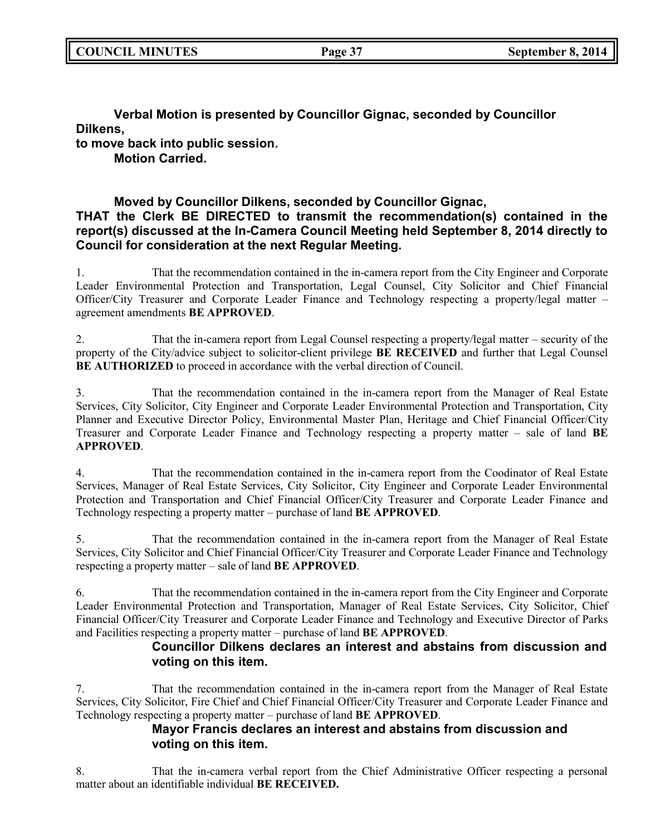**Verbal Motion is presented by Councillor Gignac, seconded by Councillor Dilkens, to move back into public session. Motion Carried.**

# **Moved by Councillor Dilkens, seconded by Councillor Gignac, THAT the Clerk BE DIRECTED to transmit the recommendation(s) contained in the report(s) discussed at the In-Camera Council Meeting held September 8, 2014 directly to Council for consideration at the next Regular Meeting.**

1. That the recommendation contained in the in-camera report from the City Engineer and Corporate Leader Environmental Protection and Transportation, Legal Counsel, City Solicitor and Chief Financial Officer/City Treasurer and Corporate Leader Finance and Technology respecting a property/legal matter – agreement amendments **BE APPROVED**.

2. That the in-camera report from Legal Counsel respecting a property/legal matter – security of the property of the City/advice subject to solicitor-client privilege **BE RECEIVED** and further that Legal Counsel **BE AUTHORIZED** to proceed in accordance with the verbal direction of Council.

3. That the recommendation contained in the in-camera report from the Manager of Real Estate Services, City Solicitor, City Engineer and Corporate Leader Environmental Protection and Transportation, City Planner and Executive Director Policy, Environmental Master Plan, Heritage and Chief Financial Officer/City Treasurer and Corporate Leader Finance and Technology respecting a property matter – sale of land **BE APPROVED**.

4. That the recommendation contained in the in-camera report from the Coodinator of Real Estate Services, Manager of Real Estate Services, City Solicitor, City Engineer and Corporate Leader Environmental Protection and Transportation and Chief Financial Officer/City Treasurer and Corporate Leader Finance and Technology respecting a property matter – purchase of land **BE APPROVED**.

5. That the recommendation contained in the in-camera report from the Manager of Real Estate Services, City Solicitor and Chief Financial Officer/City Treasurer and Corporate Leader Finance and Technology respecting a property matter – sale of land **BE APPROVED**.

6. That the recommendation contained in the in-camera report from the City Engineer and Corporate Leader Environmental Protection and Transportation, Manager of Real Estate Services, City Solicitor, Chief Financial Officer/City Treasurer and Corporate Leader Finance and Technology and Executive Director of Parks and Facilities respecting a property matter – purchase of land **BE APPROVED**.

# **Councillor Dilkens declares an interest and abstains from discussion and voting on this item.**

7. That the recommendation contained in the in-camera report from the Manager of Real Estate Services, City Solicitor, Fire Chief and Chief Financial Officer/City Treasurer and Corporate Leader Finance and Technology respecting a property matter – purchase of land **BE APPROVED**.

# **Mayor Francis declares an interest and abstains from discussion and voting on this item.**

8. That the in-camera verbal report from the Chief Administrative Officer respecting a personal matter about an identifiable individual **BE RECEIVED.**